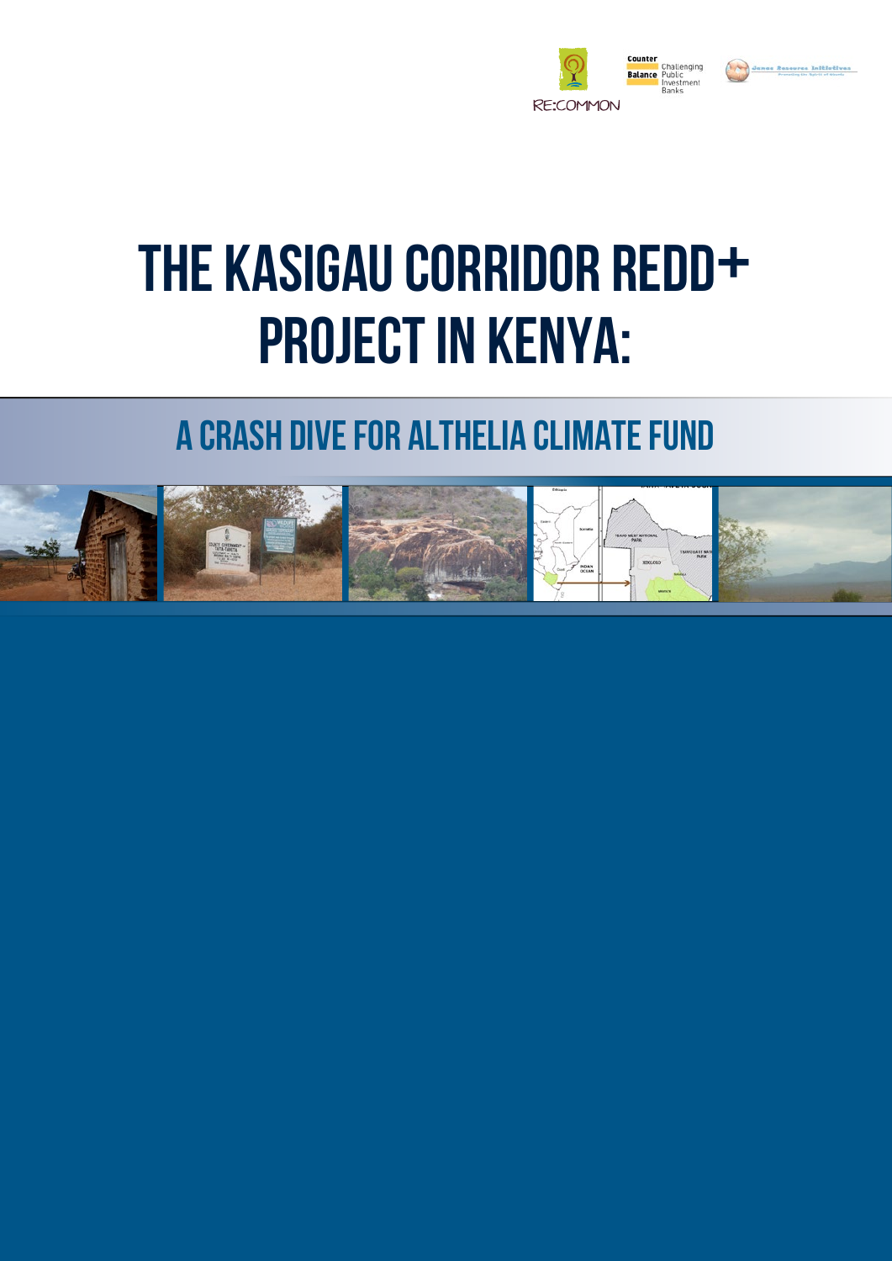

# The Kasigau Corridor REDD+ PROJECT IN KENYA:

### A crash dive for Althelia Climate Fund

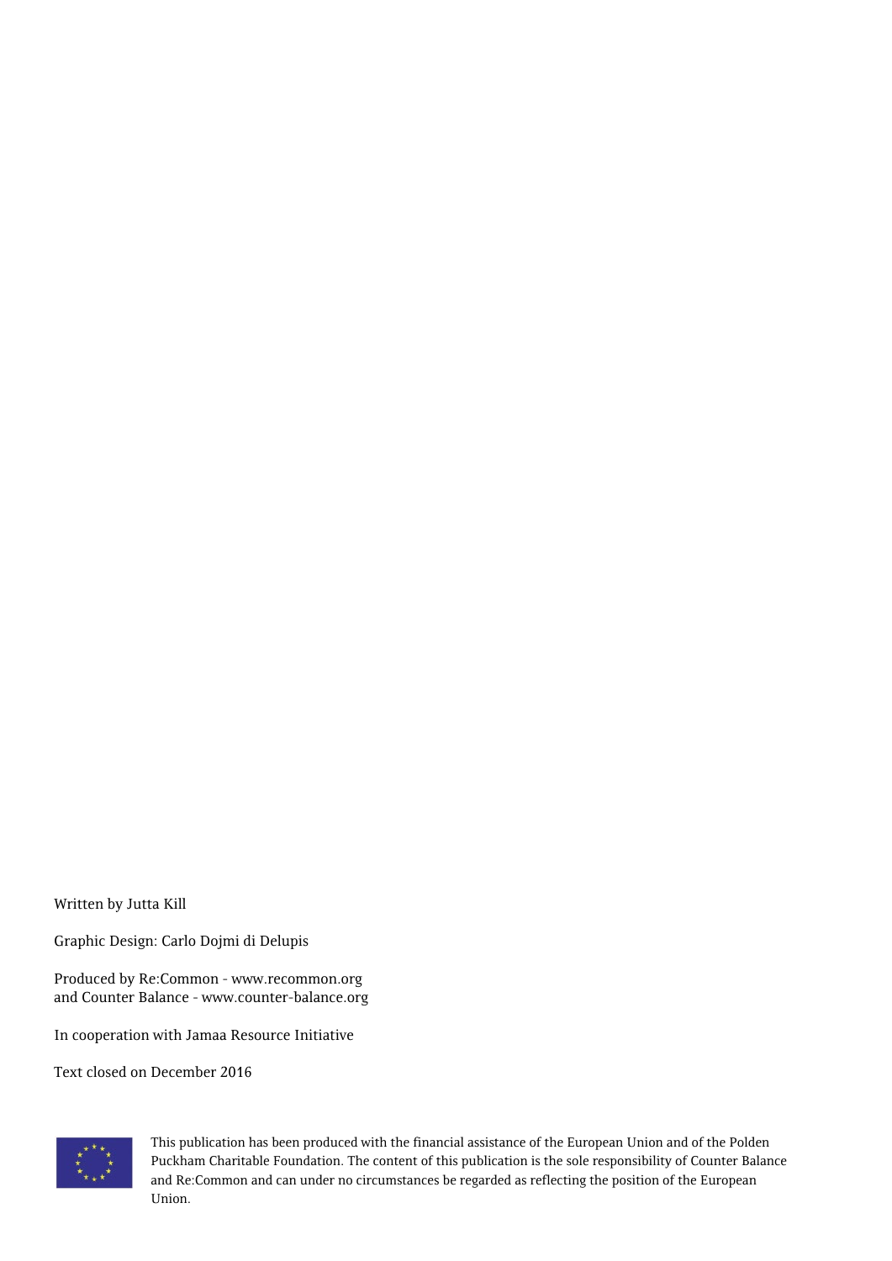Written by Jutta Kill

Graphic Design: Carlo Dojmi di Delupis

Produced by Re:Common - www.recommon.org and Counter Balance - www.counter-balance.org

In cooperation with Jamaa Resource Initiative

Text closed on December 2016



This publication has been produced with the financial assistance of the European Union and of the Polden Puckham Charitable Foundation. The content of this publication is the sole responsibility of Counter Balance and Re:Common and can under no circumstances be regarded as reflecting the position of the European Union.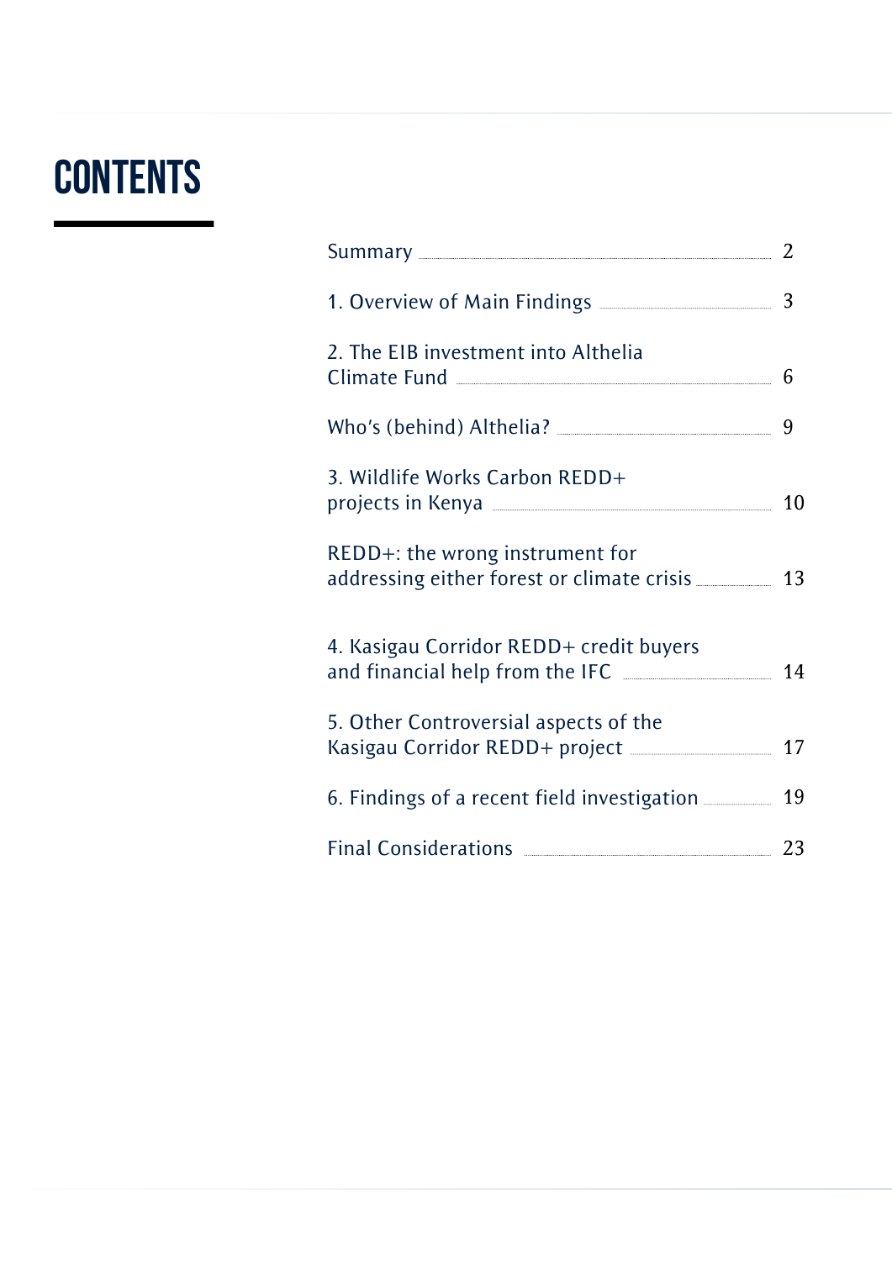# **CONTENTS**

| Summary 2                                                                                         |    |
|---------------------------------------------------------------------------------------------------|----|
|                                                                                                   |    |
| 2. The EIB investment into Althelia                                                               |    |
|                                                                                                   | 9  |
| 3. Wildlife Works Carbon REDD+                                                                    |    |
| REDD+: the wrong instrument for<br>addressing either forest or climate crisis __________ 13       |    |
| 4. Kasigau Corridor REDD+ credit buyers                                                           | 14 |
| 5. Other Controversial aspects of the<br>Kasigau Corridor REDD+ project ______________________ 17 |    |
| 6. Findings of a recent field investigation __________ 19                                         |    |
| Final Considerations 23                                                                           |    |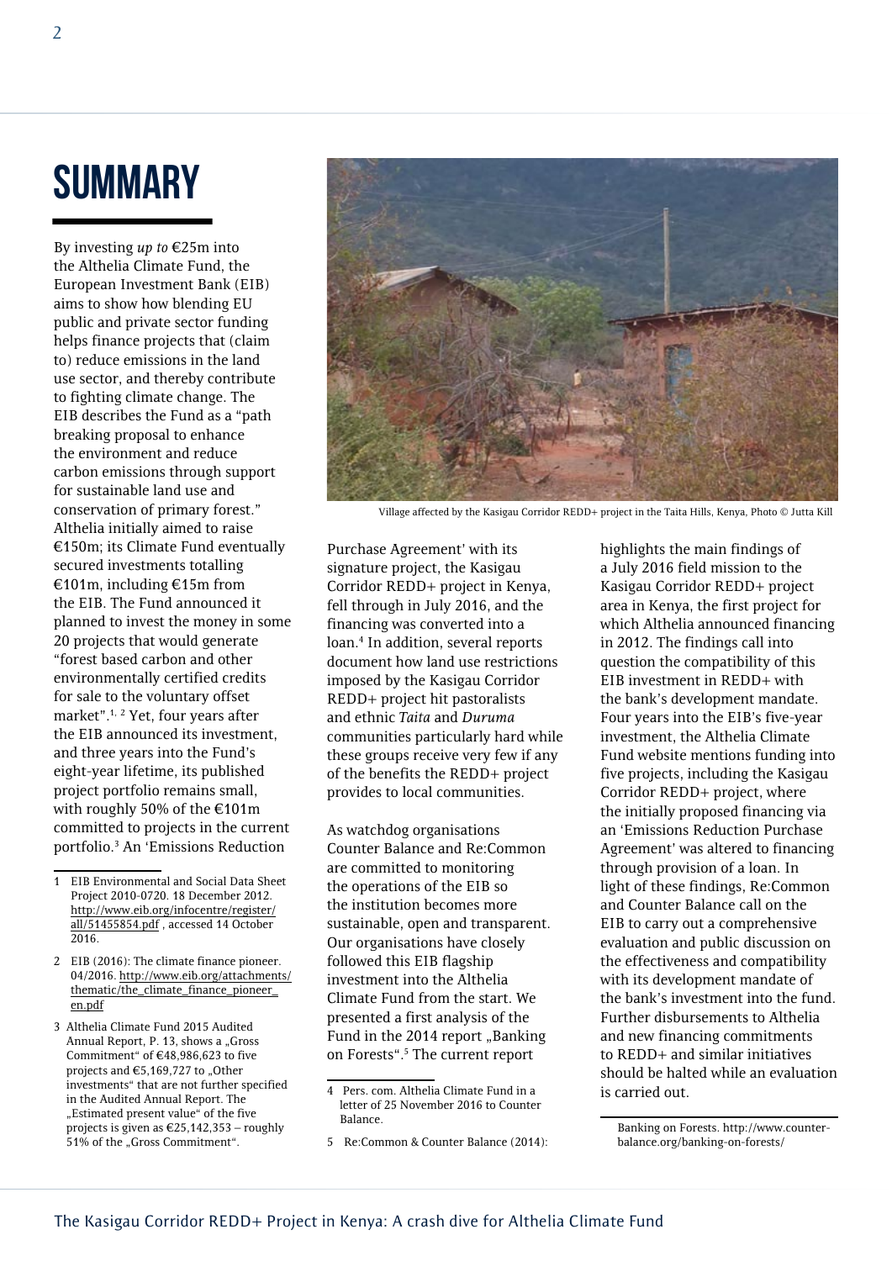### **SUMMARY**

By investing *up to* €25m into the Althelia Climate Fund, the European Investment Bank (EIB) aims to show how blending EU public and private sector funding helps finance projects that (claim to) reduce emissions in the land use sector, and thereby contribute to fighting climate change. The EIB describes the Fund as a "path breaking proposal to enhance the environment and reduce carbon emissions through support for sustainable land use and conservation of primary forest." Althelia initially aimed to raise €150m; its Climate Fund eventually secured investments totalling €101m, including €15m from the EIB. The Fund announced it planned to invest the money in some 20 projects that would generate "forest based carbon and other environmentally certified credits for sale to the voluntary offset market".1, <sup>2</sup> Yet, four years after the EIB announced its investment, and three years into the Fund's eight-year lifetime, its published project portfolio remains small, with roughly 50% of the €101m committed to projects in the current portfolio.3 An 'Emissions Reduction

- 2 EIB (2016): The climate finance pioneer. 04/2016. [http://www.eib.org/attachments/](http://www.eib.org/attachments/thematic/the_climate_finance_pioneer_en.pdf) [thematic/the\\_climate\\_finance\\_pioneer\\_](http://www.eib.org/attachments/thematic/the_climate_finance_pioneer_en.pdf) [en.pdf](http://www.eib.org/attachments/thematic/the_climate_finance_pioneer_en.pdf)
- 3 Althelia Climate Fund 2015 Audited Annual Report, P. 13, shows a "Gross Commitment" of €48,986,623 to five projects and  $€5,169,727$  to "Other investments" that are not further specified in the Audited Annual Report. The "Estimated present value" of the five projects is given as  $\text{\textsterling}25,142,353$  – roughly 51% of the "Gross Commitment".



Village affected by the Kasigau Corridor REDD+ project in the Taita Hills, Kenya, Photo © Jutta Kill

Purchase Agreement' with its signature project, the Kasigau Corridor REDD+ project in Kenya, fell through in July 2016, and the financing was converted into a loan.4 In addition, several reports document how land use restrictions imposed by the Kasigau Corridor REDD+ project hit pastoralists and ethnic *Taita* and *Duruma* communities particularly hard while these groups receive very few if any of the benefits the REDD+ project provides to local communities.

As watchdog organisations Counter Balance and Re:Common are committed to monitoring the operations of the EIB so the institution becomes more sustainable, open and transparent. Our organisations have closely followed this EIB flagship investment into the Althelia Climate Fund from the start. We presented a first analysis of the Fund in the 2014 report "Banking on Forests".5 The current report

highlights the main findings of a July 2016 field mission to the Kasigau Corridor REDD+ project area in Kenya, the first project for which Althelia announced financing in 2012. The findings call into question the compatibility of this EIB investment in REDD+ with the bank's development mandate. Four years into the EIB's five-year investment, the Althelia Climate Fund website mentions funding into five projects, including the Kasigau Corridor REDD+ project, where the initially proposed financing via an 'Emissions Reduction Purchase Agreement' was altered to financing through provision of a loan. In light of these findings, Re:Common and Counter Balance call on the EIB to carry out a comprehensive evaluation and public discussion on the effectiveness and compatibility with its development mandate of the bank's investment into the fund. Further disbursements to Althelia and new financing commitments to REDD+ and similar initiatives should be halted while an evaluation is carried out.

<sup>1</sup> EIB Environmental and Social Data Sheet Project 2010-0720. 18 December 2012. [http://www.eib.org/infocentre/register/](http://www.eib.org/infocentre/register/all/51455854.pdf) [all/51455854.pdf](http://www.eib.org/infocentre/register/all/51455854.pdf) , accessed 14 October 2016.

<sup>4</sup> Pers. com. Althelia Climate Fund in a letter of 25 November 2016 to Counter Balance.

<sup>5</sup> Re:Common & Counter Balance (2014):

Banking on Forests. http://www.counterbalance.org/banking-on-forests/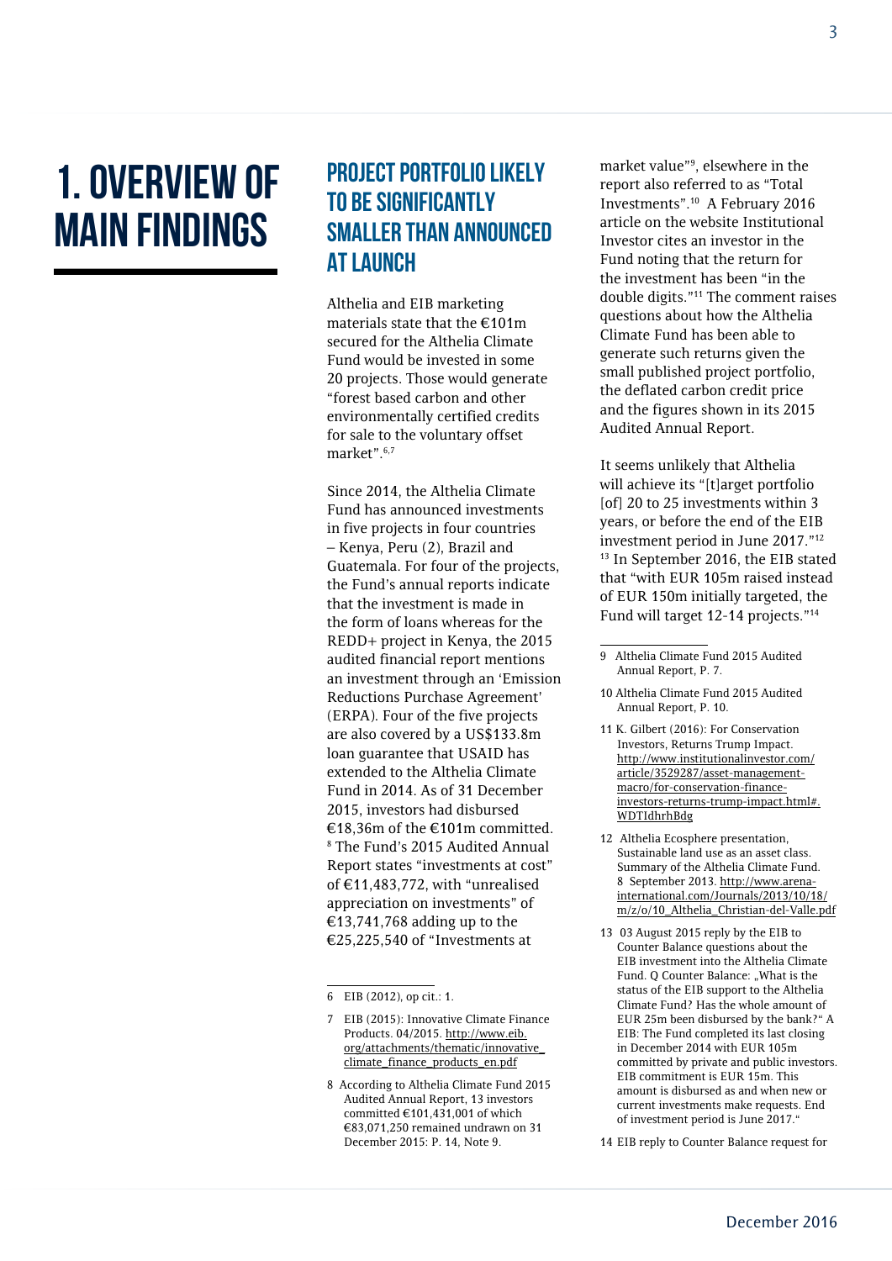## 1. Overview of Main Findings

#### Project portfolio likely to be significantly smaller than announced at launch

Althelia and EIB marketing materials state that the €101m secured for the Althelia Climate Fund would be invested in some 20 projects. Those would generate "forest based carbon and other environmentally certified credits for sale to the voluntary offset market".6,7

Since 2014, the Althelia Climate Fund has announced investments in five projects in four countries – Kenya, Peru (2), Brazil and Guatemala. For four of the projects, the Fund's annual reports indicate that the investment is made in the form of loans whereas for the REDD+ project in Kenya, the 2015 audited financial report mentions an investment through an 'Emission Reductions Purchase Agreement' (ERPA). Four of the five projects are also covered by a US\$133.8m loan guarantee that USAID has extended to the Althelia Climate Fund in 2014. As of 31 December 2015, investors had disbursed €18,36m of the €101m committed. 8 The Fund's 2015 Audited Annual Report states "investments at cost" of €11,483,772, with "unrealised appreciation on investments" of €13,741,768 adding up to the €25,225,540 of "Investments at

6 EIB (2012), op cit.: 1.

- 7 EIB (2015): Innovative Climate Finance Products. 04/2015. [http://www.eib.](http://www.eib.org/attachments/thematic/innovative_climate_finance_products_en.pdf) [org/attachments/thematic/innovative\\_](http://www.eib.org/attachments/thematic/innovative_climate_finance_products_en.pdf) [climate\\_finance\\_products\\_en.pdf](http://www.eib.org/attachments/thematic/innovative_climate_finance_products_en.pdf)
- 8 According to Althelia Climate Fund 2015 Audited Annual Report, 13 investors committed €101,431,001 of which €83,071,250 remained undrawn on 31 December 2015: P. 14, Note 9.

market value"9 , elsewhere in the report also referred to as "Total Investments".10 A February 2016 article on the website Institutional Investor cites an investor in the Fund noting that the return for the investment has been "in the double digits."11 The comment raises questions about how the Althelia Climate Fund has been able to generate such returns given the small published project portfolio, the deflated carbon credit price and the figures shown in its 2015 Audited Annual Report.

It seems unlikely that Althelia will achieve its "[t]arget portfolio [of] 20 to 25 investments within 3 years, or before the end of the EIB investment period in June 2017."12 <sup>13</sup> In September 2016, the EIB stated that "with EUR 105m raised instead of EUR 150m initially targeted, the Fund will target 12-14 projects."14

- 11 K. Gilbert (2016): For Conservation Investors, Returns Trump Impact. [http://www.institutionalinvestor.com/](http://www.institutionalinvestor.com/article/3529287/asset-management-macro/for-conservation-finance-investors-returns-trump-impact.html#.WDTIdhrhBdg) [article/3529287/asset-management](http://www.institutionalinvestor.com/article/3529287/asset-management-macro/for-conservation-finance-investors-returns-trump-impact.html#.WDTIdhrhBdg)[macro/for-conservation-finance](http://www.institutionalinvestor.com/article/3529287/asset-management-macro/for-conservation-finance-investors-returns-trump-impact.html#.WDTIdhrhBdg)[investors-returns-trump-impact.html#.](http://www.institutionalinvestor.com/article/3529287/asset-management-macro/for-conservation-finance-investors-returns-trump-impact.html#.WDTIdhrhBdg) [WDTIdhrhBdg](http://www.institutionalinvestor.com/article/3529287/asset-management-macro/for-conservation-finance-investors-returns-trump-impact.html#.WDTIdhrhBdg)
- 12 Althelia Ecosphere presentation, Sustainable land use as an asset class. Summary of the Althelia Climate Fund. 8 September 2013. [http://www.arena](http://www.arena-international.com/Journals/2013/10/18/m/z/o/10_Althelia_Christian-del-Valle.pdf)[international.com/Journals/2013/10/18/](http://www.arena-international.com/Journals/2013/10/18/m/z/o/10_Althelia_Christian-del-Valle.pdf) [m/z/o/10\\_Althelia\\_Christian-del-Valle.pdf](http://www.arena-international.com/Journals/2013/10/18/m/z/o/10_Althelia_Christian-del-Valle.pdf)
- 13 03 August 2015 reply by the EIB to Counter Balance questions about the EIB investment into the Althelia Climate Fund. O Counter Balance: "What is the status of the EIB support to the Althelia Climate Fund? Has the whole amount of EUR 25m been disbursed by the bank?" A EIB: The Fund completed its last closing in December 2014 with EUR 105m committed by private and public investors. EIB commitment is EUR 15m. This amount is disbursed as and when new or current investments make requests. End of investment period is June 2017."

14 EIB reply to Counter Balance request for

<sup>9</sup> Althelia Climate Fund 2015 Audited Annual Report, P. 7.

<sup>10</sup> Althelia Climate Fund 2015 Audited Annual Report, P. 10.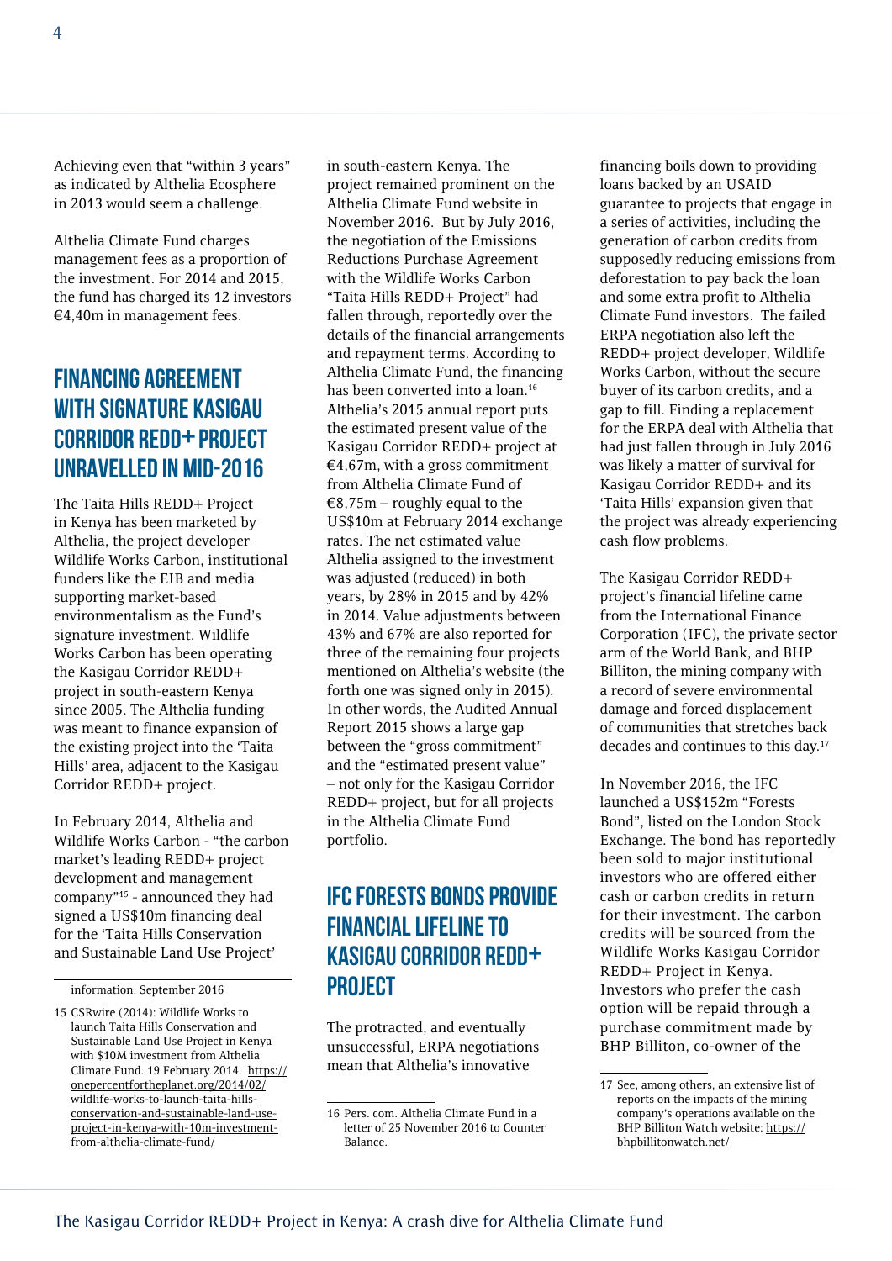Achieving even that "within 3 years" as indicated by Althelia Ecosphere in 2013 would seem a challenge.

Althelia Climate Fund charges management fees as a proportion of the investment. For 2014 and 2015, the fund has charged its 12 investors €4,40m in management fees.

#### Financing agreement with signature Kasigau Corridor REDD+ project unravelled in mid-2016

The Taita Hills REDD+ Project in Kenya has been marketed by Althelia, the project developer Wildlife Works Carbon, institutional funders like the EIB and media supporting market-based environmentalism as the Fund's signature investment. Wildlife Works Carbon has been operating the Kasigau Corridor REDD+ project in south-eastern Kenya since 2005. The Althelia funding was meant to finance expansion of the existing project into the 'Taita Hills' area, adjacent to the Kasigau Corridor REDD+ project.

In February 2014, Althelia and Wildlife Works Carbon - "the carbon market's leading REDD+ project development and management company"15 - announced they had signed a US\$10m financing deal for the 'Taita Hills Conservation and Sustainable Land Use Project'

information. September 2016

in south-eastern Kenya. The project remained prominent on the Althelia Climate Fund website in November 2016. But by July 2016, the negotiation of the Emissions Reductions Purchase Agreement with the Wildlife Works Carbon "Taita Hills REDD+ Project" had fallen through, reportedly over the details of the financial arrangements and repayment terms. According to Althelia Climate Fund, the financing has been converted into a loan.<sup>16</sup> Althelia's 2015 annual report puts the estimated present value of the Kasigau Corridor REDD+ project at  $€4,67m$ , with a gross commitment from Althelia Climate Fund of  $€8,75m$  – roughly equal to the US\$10m at February 2014 exchange rates. The net estimated value Althelia assigned to the investment was adjusted (reduced) in both years, by 28% in 2015 and by 42% in 2014. Value adjustments between 43% and 67% are also reported for three of the remaining four projects mentioned on Althelia's website (the forth one was signed only in 2015). In other words, the Audited Annual Report 2015 shows a large gap between the "gross commitment" and the "estimated present value" – not only for the Kasigau Corridor REDD+ project, but for all projects in the Althelia Climate Fund portfolio.

#### IFC Forests Bonds provide financial lifeline to Kasigau Corridor REDD+ project

The protracted, and eventually unsuccessful, ERPA negotiations mean that Althelia's innovative

financing boils down to providing loans backed by an USAID guarantee to projects that engage in a series of activities, including the generation of carbon credits from supposedly reducing emissions from deforestation to pay back the loan and some extra profit to Althelia Climate Fund investors. The failed ERPA negotiation also left the REDD+ project developer, Wildlife Works Carbon, without the secure buyer of its carbon credits, and a gap to fill. Finding a replacement for the ERPA deal with Althelia that had just fallen through in July 2016 was likely a matter of survival for Kasigau Corridor REDD+ and its 'Taita Hills' expansion given that the project was already experiencing cash flow problems.

The Kasigau Corridor REDD+ project's financial lifeline came from the International Finance Corporation (IFC), the private sector arm of the World Bank, and BHP Billiton, the mining company with a record of severe environmental damage and forced displacement of communities that stretches back decades and continues to this day.17

In November 2016, the IFC launched a US\$152m "Forests Bond", listed on the London Stock Exchange. The bond has reportedly been sold to major institutional investors who are offered either cash or carbon credits in return for their investment. The carbon credits will be sourced from the Wildlife Works Kasigau Corridor REDD+ Project in Kenya. Investors who prefer the cash option will be repaid through a purchase commitment made by BHP Billiton, co-owner of the

<sup>15</sup> CSRwire (2014): Wildlife Works to launch Taita Hills Conservation and Sustainable Land Use Project in Kenya with \$10M investment from Althelia Climate Fund. 19 February 2014. [https://](https://onepercentfortheplanet.org/2014/02/wildlife-works-to-launch-taita-hills-conservation-and-sustainable-land-use-project-in-kenya-with-10m-investment-from-althelia-climate-fund/) [onepercentfortheplanet.org/2014/02/](https://onepercentfortheplanet.org/2014/02/wildlife-works-to-launch-taita-hills-conservation-and-sustainable-land-use-project-in-kenya-with-10m-investment-from-althelia-climate-fund/) [wildlife-works-to-launch-taita-hills](https://onepercentfortheplanet.org/2014/02/wildlife-works-to-launch-taita-hills-conservation-and-sustainable-land-use-project-in-kenya-with-10m-investment-from-althelia-climate-fund/)[conservation-and-sustainable-land-use](https://onepercentfortheplanet.org/2014/02/wildlife-works-to-launch-taita-hills-conservation-and-sustainable-land-use-project-in-kenya-with-10m-investment-from-althelia-climate-fund/)[project-in-kenya-with-10m-investment](https://onepercentfortheplanet.org/2014/02/wildlife-works-to-launch-taita-hills-conservation-and-sustainable-land-use-project-in-kenya-with-10m-investment-from-althelia-climate-fund/)[from-althelia-climate-fund/](https://onepercentfortheplanet.org/2014/02/wildlife-works-to-launch-taita-hills-conservation-and-sustainable-land-use-project-in-kenya-with-10m-investment-from-althelia-climate-fund/)

<sup>16</sup> Pers. com. Althelia Climate Fund in a letter of 25 November 2016 to Counter Balance.

<sup>17</sup> See, among others, an extensive list of reports on the impacts of the mining company's operations available on the BHP Billiton Watch website: [https://](https://bhpbillitonwatch.net/) [bhpbillitonwatch.net/](https://bhpbillitonwatch.net/)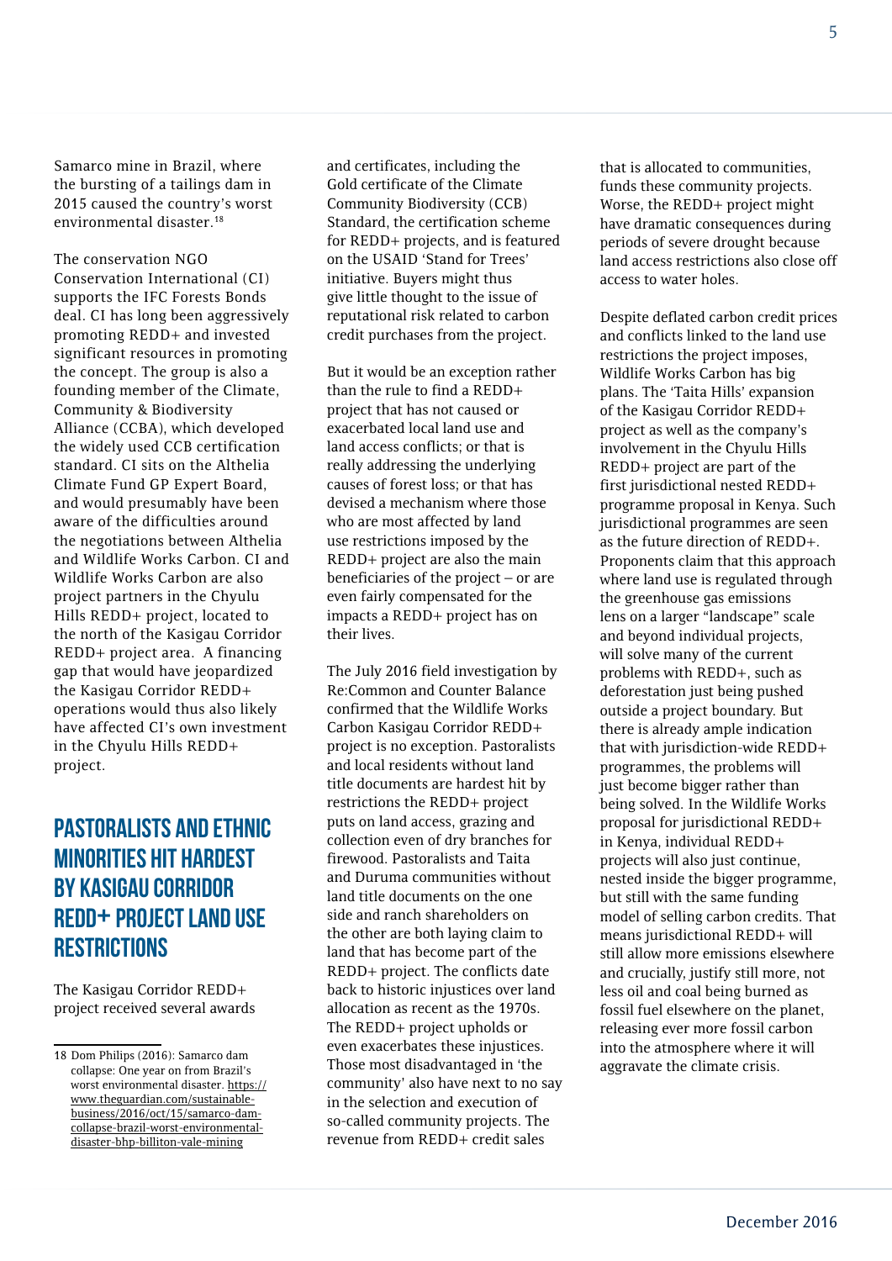Samarco mine in Brazil, where the bursting of a tailings dam in 2015 caused the country's worst environmental disaster.<sup>18</sup>

The conservation NGO Conservation International (CI) supports the IFC Forests Bonds deal. CI has long been aggressively promoting REDD+ and invested significant resources in promoting the concept. The group is also a founding member of the Climate, Community & Biodiversity Alliance (CCBA), which developed the widely used CCB certification standard. CI sits on the Althelia Climate Fund GP Expert Board, and would presumably have been aware of the difficulties around the negotiations between Althelia and Wildlife Works Carbon. CI and Wildlife Works Carbon are also project partners in the Chyulu Hills REDD+ project, located to the north of the Kasigau Corridor REDD+ project area. A financing gap that would have jeopardized the Kasigau Corridor REDD+ operations would thus also likely have affected CI's own investment in the Chyulu Hills REDD+ project.

#### Pastoralists and ethnic minorities hit hardest by Kasigau Corridor REDD+ project land use **RESTRICTIONS**

The Kasigau Corridor REDD+ project received several awards and certificates, including the Gold certificate of the Climate Community Biodiversity (CCB) Standard, the certification scheme for REDD+ projects, and is featured on the USAID 'Stand for Trees' initiative. Buyers might thus give little thought to the issue of reputational risk related to carbon credit purchases from the project.

But it would be an exception rather than the rule to find a REDD+ project that has not caused or exacerbated local land use and land access conflicts; or that is really addressing the underlying causes of forest loss; or that has devised a mechanism where those who are most affected by land use restrictions imposed by the REDD+ project are also the main beneficiaries of the project – or are even fairly compensated for the impacts a REDD+ project has on their lives.

The July 2016 field investigation by Re:Common and Counter Balance confirmed that the Wildlife Works Carbon Kasigau Corridor REDD+ project is no exception. Pastoralists and local residents without land title documents are hardest hit by restrictions the REDD+ project puts on land access, grazing and collection even of dry branches for firewood. Pastoralists and Taita and Duruma communities without land title documents on the one side and ranch shareholders on the other are both laying claim to land that has become part of the REDD+ project. The conflicts date back to historic injustices over land allocation as recent as the 1970s. The REDD+ project upholds or even exacerbates these injustices. Those most disadvantaged in 'the community' also have next to no say in the selection and execution of so-called community projects. The revenue from REDD+ credit sales

that is allocated to communities, funds these community projects. Worse, the REDD+ project might have dramatic consequences during periods of severe drought because land access restrictions also close off access to water holes.

Despite deflated carbon credit prices and conflicts linked to the land use restrictions the project imposes, Wildlife Works Carbon has big plans. The 'Taita Hills' expansion of the Kasigau Corridor REDD+ project as well as the company's involvement in the Chyulu Hills REDD+ project are part of the first jurisdictional nested REDD+ programme proposal in Kenya. Such jurisdictional programmes are seen as the future direction of REDD+. Proponents claim that this approach where land use is regulated through the greenhouse gas emissions lens on a larger "landscape" scale and beyond individual projects, will solve many of the current problems with REDD+, such as deforestation just being pushed outside a project boundary. But there is already ample indication that with jurisdiction-wide REDD+ programmes, the problems will just become bigger rather than being solved. In the Wildlife Works proposal for jurisdictional REDD+ in Kenya, individual REDD+ projects will also just continue, nested inside the bigger programme, but still with the same funding model of selling carbon credits. That means jurisdictional REDD+ will still allow more emissions elsewhere and crucially, justify still more, not less oil and coal being burned as fossil fuel elsewhere on the planet, releasing ever more fossil carbon into the atmosphere where it will aggravate the climate crisis.

<sup>18</sup> Dom Philips (2016): Samarco dam collapse: One year on from Brazil's worst environmental disaster. [https://](https://www.theguardian.com/sustainable-business/2016/oct/15/samarco-dam-collapse-brazil-worst-environmental-disaster-bhp-billiton-vale-mining) [www.theguardian.com/sustainable](https://www.theguardian.com/sustainable-business/2016/oct/15/samarco-dam-collapse-brazil-worst-environmental-disaster-bhp-billiton-vale-mining)[business/2016/oct/15/samarco-dam](https://www.theguardian.com/sustainable-business/2016/oct/15/samarco-dam-collapse-brazil-worst-environmental-disaster-bhp-billiton-vale-mining)[collapse-brazil-worst-environmental](https://www.theguardian.com/sustainable-business/2016/oct/15/samarco-dam-collapse-brazil-worst-environmental-disaster-bhp-billiton-vale-mining)[disaster-bhp-billiton-vale-mining](https://www.theguardian.com/sustainable-business/2016/oct/15/samarco-dam-collapse-brazil-worst-environmental-disaster-bhp-billiton-vale-mining)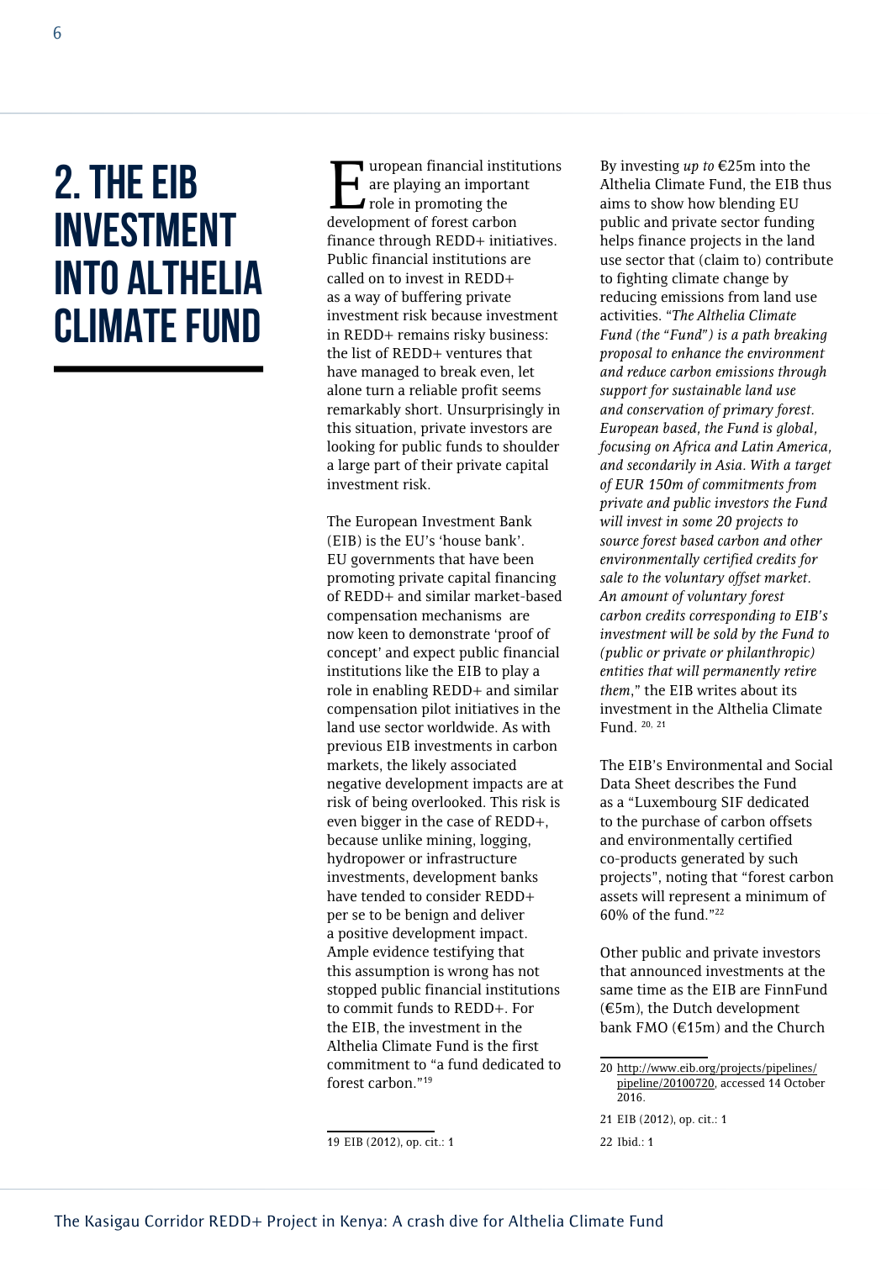### 2. The EIB investment into Althelia Climate Fund

**T** uropean financial institutions are playing an important  $\blacktriangle$  role in promoting the development of forest carbon finance through REDD+ initiatives. Public financial institutions are called on to invest in REDD+ as a way of buffering private investment risk because investment in REDD+ remains risky business: the list of REDD+ ventures that have managed to break even, let alone turn a reliable profit seems remarkably short. Unsurprisingly in this situation, private investors are looking for public funds to shoulder a large part of their private capital investment risk.

The European Investment Bank (EIB) is the EU's 'house bank'. EU governments that have been promoting private capital financing of REDD+ and similar market-based compensation mechanisms are now keen to demonstrate 'proof of concept' and expect public financial institutions like the EIB to play a role in enabling REDD+ and similar compensation pilot initiatives in the land use sector worldwide. As with previous EIB investments in carbon markets, the likely associated negative development impacts are at risk of being overlooked. This risk is even bigger in the case of REDD+, because unlike mining, logging, hydropower or infrastructure investments, development banks have tended to consider REDD+ per se to be benign and deliver a positive development impact. Ample evidence testifying that this assumption is wrong has not stopped public financial institutions to commit funds to REDD+. For the EIB, the investment in the Althelia Climate Fund is the first commitment to "a fund dedicated to forest carbon."19

19 EIB (2012), op. cit.: 1

By investing *up to* €25m into the Althelia Climate Fund, the EIB thus aims to show how blending EU public and private sector funding helps finance projects in the land use sector that (claim to) contribute to fighting climate change by reducing emissions from land use activities. "*The Althelia Climate Fund (the "Fund") is a path breaking proposal to enhance the environment and reduce carbon emissions through support for sustainable land use and conservation of primary forest. European based, the Fund is global, focusing on Africa and Latin America, and secondarily in Asia. With a target of EUR 150m of commitments from private and public investors the Fund will invest in some 20 projects to source forest based carbon and other environmentally certified credits for sale to the voluntary offset market. An amount of voluntary forest carbon credits corresponding to EIB's investment will be sold by the Fund to (public or private or philanthropic) entities that will permanently retire them*," the EIB writes about its investment in the Althelia Climate Fund. 20, <sup>21</sup>

The EIB's Environmental and Social Data Sheet describes the Fund as a "Luxembourg SIF dedicated to the purchase of carbon offsets and environmentally certified co-products generated by such projects", noting that "forest carbon assets will represent a minimum of 60% of the fund."22

Other public and private investors that announced investments at the same time as the EIB are FinnFund  $(\text{\ensuremath{\mathfrak{E}5m}})$ , the Dutch development bank FMO (€15m) and the Church

21 EIB (2012), op. cit.: 1

<sup>20</sup> [http://www.eib.org/projects/pipelines/](http://www.eib.org/projects/pipelines/pipeline/20100720) [pipeline/20100720,](http://www.eib.org/projects/pipelines/pipeline/20100720) accessed 14 October 2016.

<sup>22</sup> Ibid.: 1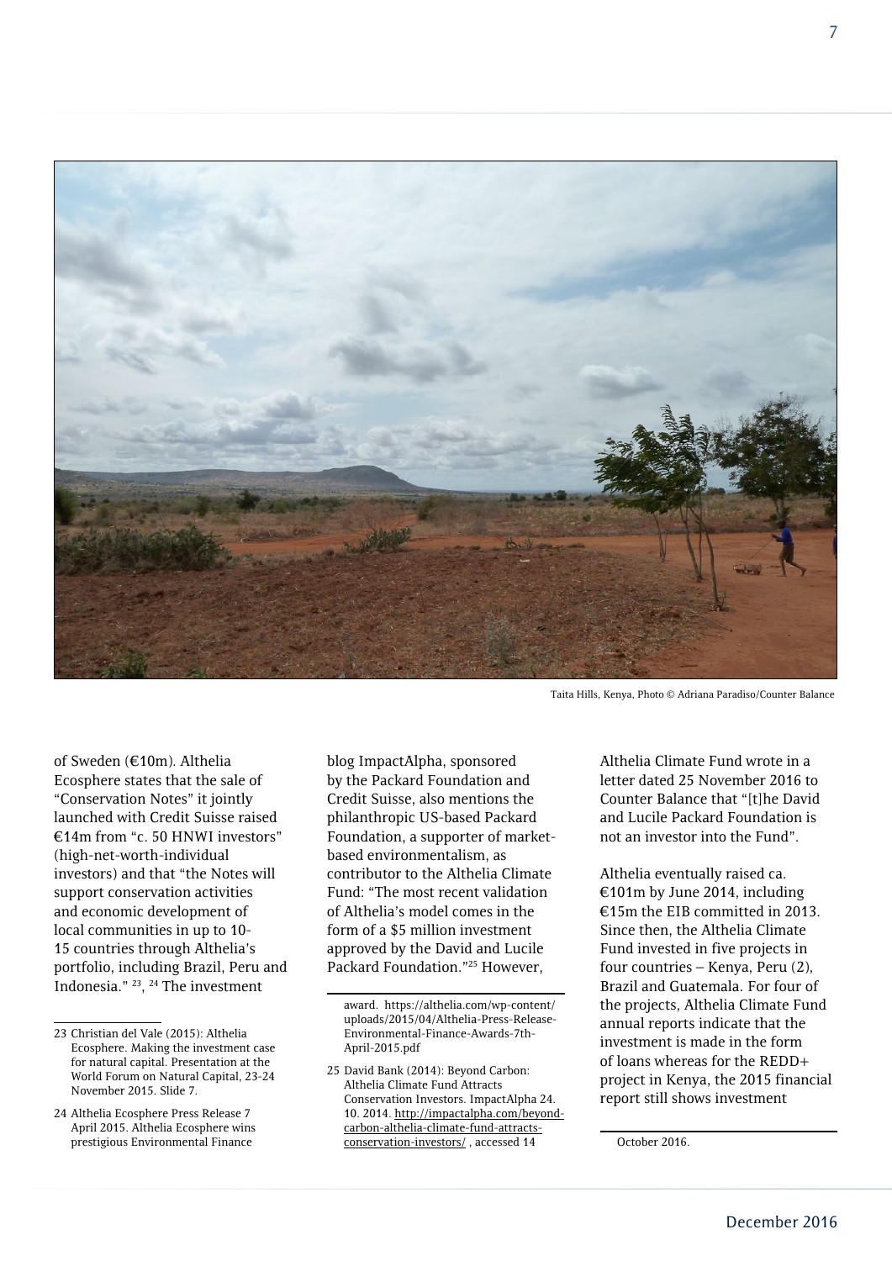

Taita Hills, Kenya, Photo © Adriana Paradiso/Counter Balance

of Sweden (€10m). Althelia Ecosphere states that the sale of "Conservation Notes" it jointly launched with Credit Suisse raised €14m from "c. 50 HNWI investors" (high-net-worth-individual investors) and that "the Notes will support conservation activities and economic development of local communities in up to 10- 15 countries through Althelia's portfolio, including Brazil, Peru and Indonesia." 23, 24 The investment

blog ImpactAlpha, sponsored by the Packard Foundation and Credit Suisse, also mentions the philanthropic US-based Packard Foundation, a supporter of marketbased environmentalism, as contributor to the Althelia Climate Fund: "The most recent validation of Althelia's model comes in the form of a \$5 million investment approved by the David and Lucile Packard Foundation."25 However,

Althelia Climate Fund wrote in a letter dated 25 November 2016 to Counter Balance that "[t]he David and Lucile Packard Foundation is not an investor into the Fund".

Althelia eventually raised ca. €101m by June 2014, including €15m the EIB committed in 2013. Since then, the Althelia Climate Fund invested in five projects in four countries – Kenya, Peru (2), Brazil and Guatemala. For four of the projects, Althelia Climate Fund annual reports indicate that the investment is made in the form of loans whereas for the REDD+ project in Kenya, the 2015 financial report still shows investment

<sup>23</sup> Christian del Vale (2015): Althelia Ecosphere. Making the investment case for natural capital. Presentation at the World Forum on Natural Capital, 23-24 November 2015. Slide 7.

<sup>24</sup> Althelia Ecosphere Press Release 7 April 2015. Althelia Ecosphere wins prestigious Environmental Finance

award. https://althelia.com/wp-content/ uploads/2015/04/Althelia-Press-Release-Environmental-Finance-Awards-7th-April-2015.pdf

<sup>25</sup> David Bank (2014): Beyond Carbon: Althelia Climate Fund Attracts Conservation Investors. ImpactAlpha 24. 10. 2014. [http://impactalpha.com/beyond](http://impactalpha.com/beyond-carbon-althelia-climate-fund-attracts-conservation-investors/)[carbon-althelia-climate-fund-attracts](http://impactalpha.com/beyond-carbon-althelia-climate-fund-attracts-conservation-investors/)[conservation-investors/](http://impactalpha.com/beyond-carbon-althelia-climate-fund-attracts-conservation-investors/) , accessed 14

October 2016.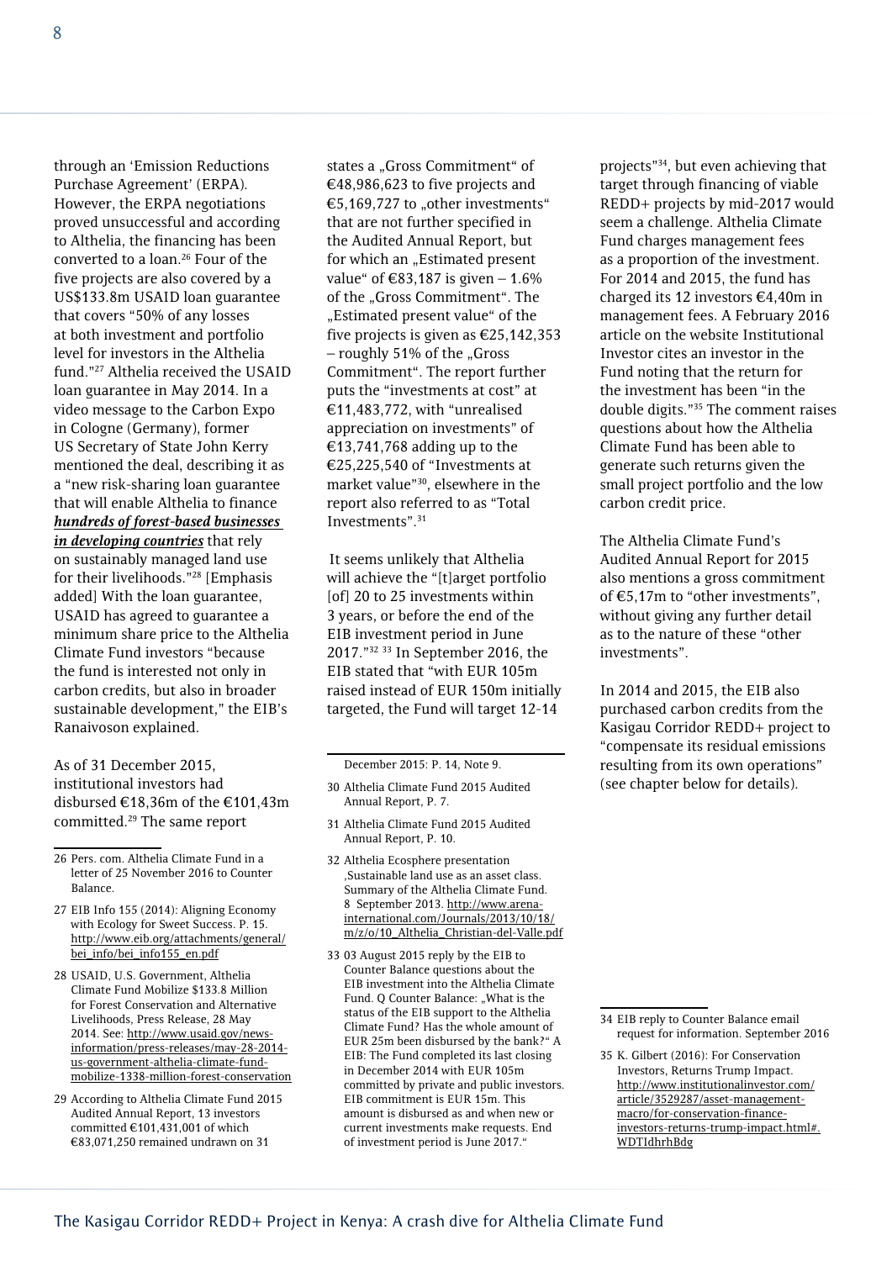through an 'Emission Reductions Purchase Agreement' (ERPA). However, the ERPA negotiations proved unsuccessful and according to Althelia, the financing has been converted to a loan.26 Four of the five projects are also covered by a US\$133.8m USAID loan guarantee that covers "50% of any losses at both investment and portfolio level for investors in the Althelia fund."27 Althelia received the USAID loan guarantee in May 2014. In a video message to the Carbon Expo in Cologne (Germany), former US Secretary of State John Kerry mentioned the deal, describing it as a "new risk-sharing loan guarantee that will enable Althelia to finance *hundreds of forest-based businesses in developing countries* that rely on sustainably managed land use for their livelihoods."28 [Emphasis added] With the loan guarantee, USAID has agreed to guarantee a minimum share price to the Althelia Climate Fund investors "because the fund is interested not only in carbon credits, but also in broader sustainable development," the EIB's Ranaivoson explained.

As of 31 December 2015, institutional investors had disbursed €18,36m of the €101,43m committed.29 The same report

26 Pers. com. Althelia Climate Fund in a letter of 25 November 2016 to Counter Balance.

- 27 EIB Info 155 (2014): Aligning Economy with Ecology for Sweet Success. P. 15. [http://www.eib.org/attachments/general/](http://www.eib.org/attachments/general/bei_info/bei_info155_en.pdf) [bei\\_info/bei\\_info155\\_en.pdf](http://www.eib.org/attachments/general/bei_info/bei_info155_en.pdf)
- 28 USAID, U.S. Government, Althelia Climate Fund Mobilize \$133.8 Million for Forest Conservation and Alternative Livelihoods, Press Release, 28 May 2014. See: [http://www.usaid.gov/news](http://www.usaid.gov/news-information/press-releases/may-28-2014-us-government-althelia-climate-fund-mobilize-1338-million-forest-conservation)[information/press-releases/may-28-2014](http://www.usaid.gov/news-information/press-releases/may-28-2014-us-government-althelia-climate-fund-mobilize-1338-million-forest-conservation) [us-government-althelia-climate-fund](http://www.usaid.gov/news-information/press-releases/may-28-2014-us-government-althelia-climate-fund-mobilize-1338-million-forest-conservation)[mobilize-1338-million-forest-conservation](http://www.usaid.gov/news-information/press-releases/may-28-2014-us-government-althelia-climate-fund-mobilize-1338-million-forest-conservation)
- 29 According to Althelia Climate Fund 2015 Audited Annual Report, 13 investors committed  $€101.431.001$  of which €83,071,250 remained undrawn on 31

states a "Gross Commitment" of €48,986,623 to five projects and €5,169,727 to "other investments" that are not further specified in the Audited Annual Report, but for which an "Estimated present value" of €83,187 is given  $-1.6%$ of the "Gross Commitment". The "Estimated present value" of the five projects is given as €25,142,353  $-$  roughly 51% of the "Gross Commitment". The report further puts the "investments at cost" at €11,483,772, with "unrealised appreciation on investments" of €13,741,768 adding up to the €25,225,540 of "Investments at market value"30, elsewhere in the report also referred to as "Total Investments".31

It seems unlikely that Althelia will achieve the "[t]arget portfolio [of] 20 to 25 investments within 3 years, or before the end of the EIB investment period in June 2017."32 33 In September 2016, the EIB stated that "with EUR 105m raised instead of EUR 150m initially targeted, the Fund will target 12-14

- 31 Althelia Climate Fund 2015 Audited Annual Report, P. 10.
- 32 Althelia Ecosphere presentation 'Sustainable land use as an asset class. Summary of the Althelia Climate Fund. 8 September 2013. [http://www.arena](http://www.arena-international.com/Journals/2013/10/18/m/z/o/10_Althelia_Christian-del-Valle.pdf)[international.com/Journals/2013/10/18/](http://www.arena-international.com/Journals/2013/10/18/m/z/o/10_Althelia_Christian-del-Valle.pdf) [m/z/o/10\\_Althelia\\_Christian-del-Valle.pdf](http://www.arena-international.com/Journals/2013/10/18/m/z/o/10_Althelia_Christian-del-Valle.pdf)
- 33 03 August 2015 reply by the EIB to Counter Balance questions about the EIB investment into the Althelia Climate Fund. O Counter Balance: "What is the status of the EIB support to the Althelia Climate Fund? Has the whole amount of EUR 25m been disbursed by the bank?" A EIB: The Fund completed its last closing in December 2014 with EUR 105m committed by private and public investors. EIB commitment is EUR 15m. This amount is disbursed as and when new or current investments make requests. End of investment period is June 2017."

projects"34, but even achieving that target through financing of viable REDD+ projects by mid-2017 would seem a challenge. Althelia Climate Fund charges management fees as a proportion of the investment. For 2014 and 2015, the fund has charged its 12 investors €4,40m in management fees. A February 2016 article on the website Institutional Investor cites an investor in the Fund noting that the return for the investment has been "in the double digits."35 The comment raises questions about how the Althelia Climate Fund has been able to generate such returns given the small project portfolio and the low carbon credit price.

The Althelia Climate Fund's Audited Annual Report for 2015 also mentions a gross commitment of €5,17m to "other investments", without giving any further detail as to the nature of these "other investments".

In 2014 and 2015, the EIB also purchased carbon credits from the Kasigau Corridor REDD+ project to "compensate its residual emissions resulting from its own operations" (see chapter below for details).

December 2015: P. 14, Note 9.

<sup>30</sup> Althelia Climate Fund 2015 Audited Annual Report, P. 7.

<sup>34</sup> EIB reply to Counter Balance email request for information. September 2016

<sup>35</sup> K. Gilbert (2016): For Conservation Investors, Returns Trump Impact. [http://www.institutionalinvestor.com/](http://www.institutionalinvestor.com/article/3529287/asset-management-macro/for-conservation-finance-investors-returns-trump-impact.html#.WDTIdhrhBdg) [article/3529287/asset-management](http://www.institutionalinvestor.com/article/3529287/asset-management-macro/for-conservation-finance-investors-returns-trump-impact.html#.WDTIdhrhBdg)[macro/for-conservation-finance](http://www.institutionalinvestor.com/article/3529287/asset-management-macro/for-conservation-finance-investors-returns-trump-impact.html#.WDTIdhrhBdg)[investors-returns-trump-impact.html#.](http://www.institutionalinvestor.com/article/3529287/asset-management-macro/for-conservation-finance-investors-returns-trump-impact.html#.WDTIdhrhBdg) [WDTIdhrhBdg](http://www.institutionalinvestor.com/article/3529287/asset-management-macro/for-conservation-finance-investors-returns-trump-impact.html#.WDTIdhrhBdg)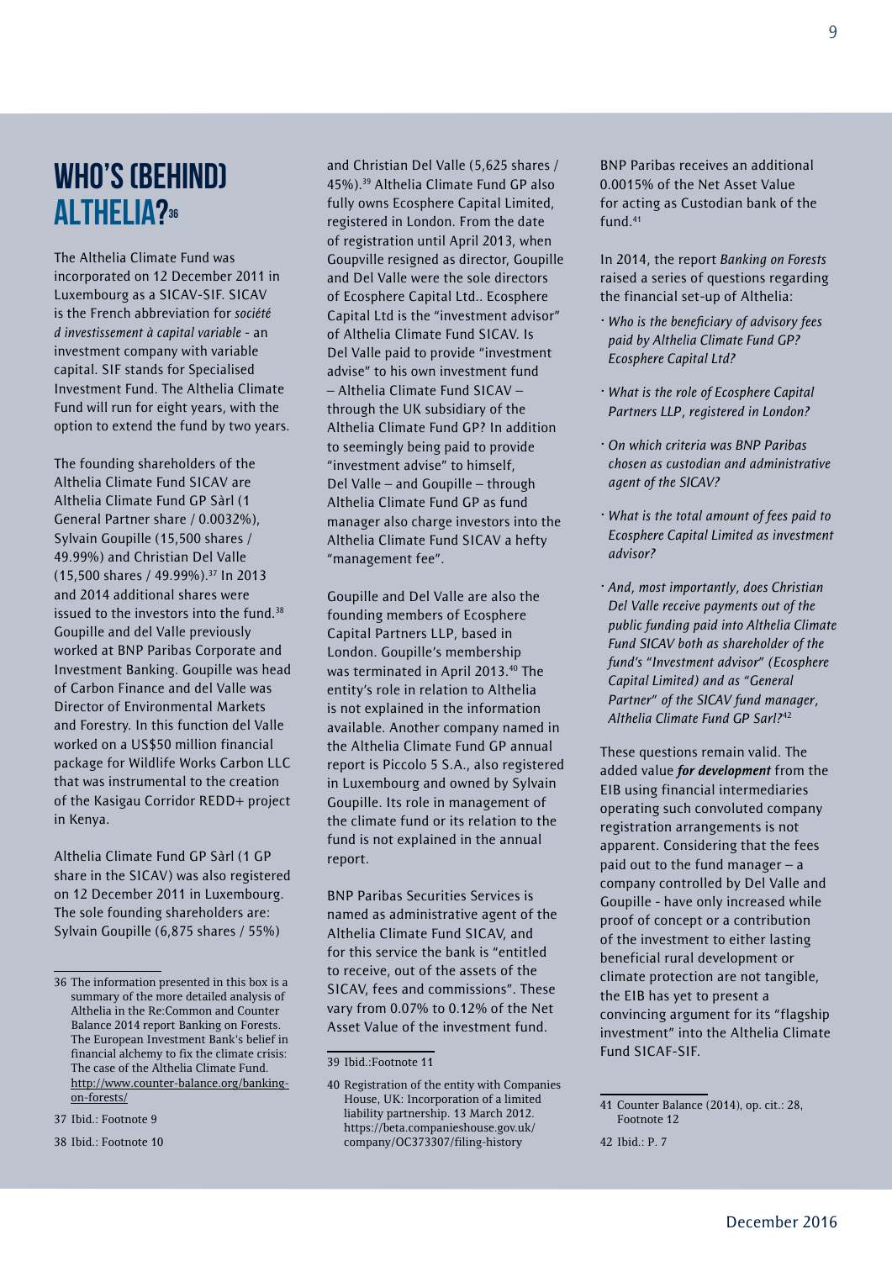### WHO'S (BEHIND) ALTHELIA?36

The Althelia Climate Fund was incorporated on 12 December 2011 in Luxembourg as a SICAV-SIF. SICAV is the French abbreviation for *société dinvestissement à capital variable* - an investment company with variable capital. SIF stands for Specialised Investment Fund. The Althelia Climate Fund will run for eight years, with the option to extend the fund by two years.

The founding shareholders of the Althelia Climate Fund SICAV are Althelia Climate Fund GP Sàrl (1 General Partner share / 0.0032%), Sylvain Goupille (15,500 shares / 49.99%) and Christian Del Valle (15,500 shares / 49.99%).37 In 2013 and 2014 additional shares were issued to the investors into the fund.<sup>38</sup> Goupille and del Valle previously worked at BNP Paribas Corporate and Investment Banking. Goupille was head of Carbon Finance and del Valle was Director of Environmental Markets and Forestry. In this function del Valle worked on a US\$50 million financial package for Wildlife Works Carbon LLC that was instrumental to the creation of the Kasigau Corridor REDD+ project in Kenya.

Althelia Climate Fund GP Sàrl (1 GP share in the SICAV) was also registered on 12 December 2011 in Luxembourg. The sole founding shareholders are: Sylvain Goupille (6,875 shares / 55%)

and Christian Del Valle (5,625 shares / 45%).39 Althelia Climate Fund GP also fully owns Ecosphere Capital Limited, registered in London. From the date of registration until April 2013, when Goupville resigned as director, Goupille and Del Valle were the sole directors of Ecosphere Capital Ltd.. Ecosphere Capital Ltd is the "investment advisor" of Althelia Climate Fund SICAV. Is Del Valle paid to provide "investment advise" to his own investment fund – Althelia Climate Fund SICAV – through the UK subsidiary of the Althelia Climate Fund GP? In addition to seemingly being paid to provide "investment advise" to himself, Del Valle – and Goupille – through Althelia Climate Fund GP as fund manager also charge investors into the Althelia Climate Fund SICAV a hefty "management fee".

Goupille and Del Valle are also the founding members of Ecosphere Capital Partners LLP, based in London. Goupille's membership was terminated in April 2013.40 The entity's role in relation to Althelia is not explained in the information available. Another company named in the Althelia Climate Fund GP annual report is Piccolo 5 S.A., also registered in Luxembourg and owned by Sylvain Goupille. Its role in management of the climate fund or its relation to the fund is not explained in the annual report.

BNP Paribas Securities Services is named as administrative agent of the Althelia Climate Fund SICAV, and for this service the bank is "entitled to receive, out of the assets of the SICAV, fees and commissions". These vary from 0.07% to 0.12% of the Net Asset Value of the investment fund.

BNP Paribas receives an additional 0.0015% of the Net Asset Value for acting as Custodian bank of the fund.41

In 2014, the report *Banking on Forests*  raised a series of questions regarding the financial set-up of Althelia:

- *· Who is the beneficiary of advisory fees paid by Althelia Climate Fund GP? Ecosphere Capital Ltd?*
- *· What is the role of Ecosphere Capital Partners LLP, registered in London?*
- *· On which criteria was BNP Paribas chosen as custodian and administrative agent of the SICAV?*
- *· What is the total amount of fees paid to Ecosphere Capital Limited as investment advisor?*
- *· And, most importantly, does Christian Del Valle receive payments out of the public funding paid into Althelia Climate Fund SICAV both as shareholder of the fund's "Investment advisor" (Ecosphere Capital Limited) and as "General Partner" of the SICAV fund manager, Althelia Climate Fund GP Sarl?*<sup>42</sup>

These questions remain valid. The added value *for development* from the EIB using financial intermediaries operating such convoluted company registration arrangements is not apparent. Considering that the fees paid out to the fund manager  $- a$ company controlled by Del Valle and Goupille - have only increased while proof of concept or a contribution of the investment to either lasting beneficial rural development or climate protection are not tangible, the EIB has yet to present a convincing argument for its "flagship investment" into the Althelia Climate Fund SICAF-SIF.

<sup>36</sup> The information presented in this box is a summary of the more detailed analysis of Althelia in the Re:Common and Counter Balance 2014 report Banking on Forests. The European Investment Bank's belief in financial alchemy to fix the climate crisis: The case of the Althelia Climate Fund. [http://www.counter-balance.org/banking](http://www.counter-balance.org/banking-on-forests/)[on-forests/](http://www.counter-balance.org/banking-on-forests/)

<sup>37</sup> Ibid.: Footnote 9

<sup>38</sup> Ibid.: Footnote 10

<sup>39</sup> Ibid.:Footnote 11

<sup>40</sup> Registration of the entity with Companies House, UK: Incorporation of a limited liability partnership. 13 March 2012. https://beta.companieshouse.gov.uk/ company/OC373307/filing-history

<sup>41</sup> Counter Balance (2014), op. cit.: 28, Footnote 12

<sup>42</sup> Ibid.: P. 7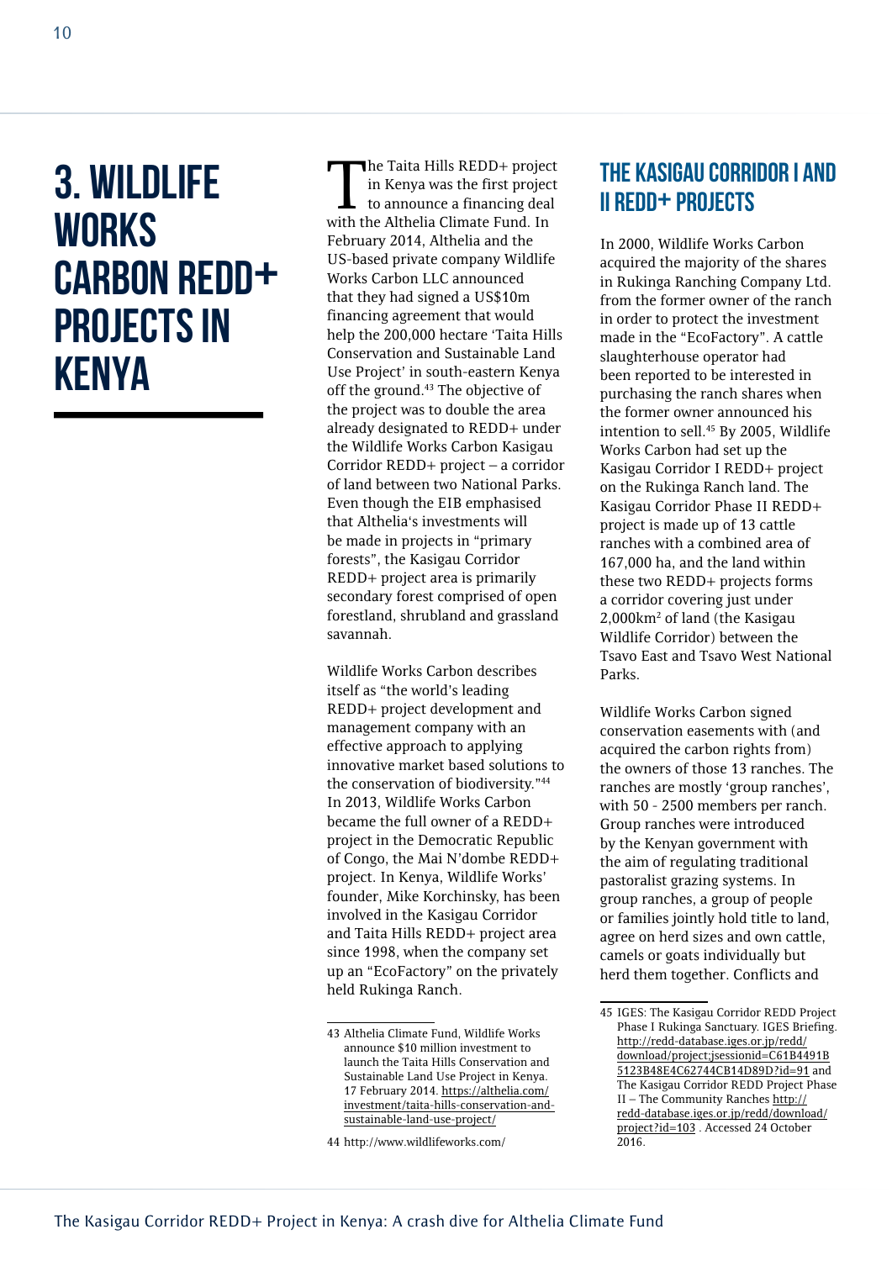### 3. Wildlife **WORKS** CARBON REDD+ projects in Kenya

The Taita Hills REDD+ project<br>in Kenya was the first project<br>to announce a financing deal in Kenya was the first project to announce a financing deal with the Althelia Climate Fund. In February 2014, Althelia and the US-based private company Wildlife Works Carbon LLC announced that they had signed a US\$10m financing agreement that would help the 200,000 hectare 'Taita Hills Conservation and Sustainable Land Use Project' in south-eastern Kenya off the ground.<sup>43</sup> The objective of the project was to double the area already designated to REDD+ under the Wildlife Works Carbon Kasigau Corridor REDD+ project – a corridor of land between two National Parks. Even though the EIB emphasised that Althelia's investments will be made in projects in "primary forests", the Kasigau Corridor REDD+ project area is primarily secondary forest comprised of open forestland, shrubland and grassland savannah.

Wildlife Works Carbon describes itself as "the world's leading REDD+ project development and management company with an effective approach to applying innovative market based solutions to the conservation of biodiversity."44 In 2013, Wildlife Works Carbon became the full owner of a REDD+ project in the Democratic Republic of Congo, the Mai N'dombe REDD+ project. In Kenya, Wildlife Works' founder, Mike Korchinsky, has been involved in the Kasigau Corridor and Taita Hills REDD+ project area since 1998, when the company set up an "EcoFactory" on the privately held Rukinga Ranch.

#### The Kasigau Corridor I and II REDD+ projects

In 2000, Wildlife Works Carbon acquired the majority of the shares in Rukinga Ranching Company Ltd. from the former owner of the ranch in order to protect the investment made in the "EcoFactory". A cattle slaughterhouse operator had been reported to be interested in purchasing the ranch shares when the former owner announced his intention to sell.45 By 2005, Wildlife Works Carbon had set up the Kasigau Corridor I REDD+ project on the Rukinga Ranch land. The Kasigau Corridor Phase II REDD+ project is made up of 13 cattle ranches with a combined area of 167,000 ha, and the land within these two REDD+ projects forms a corridor covering just under 2,000km2 of land (the Kasigau Wildlife Corridor) between the Tsavo East and Tsavo West National Parks.

Wildlife Works Carbon signed conservation easements with (and acquired the carbon rights from) the owners of those 13 ranches. The ranches are mostly 'group ranches', with 50 - 2500 members per ranch. Group ranches were introduced by the Kenyan government with the aim of regulating traditional pastoralist grazing systems. In group ranches, a group of people or families jointly hold title to land, agree on herd sizes and own cattle, camels or goats individually but herd them together. Conflicts and

<sup>43</sup> Althelia Climate Fund, Wildlife Works announce \$10 million investment to launch the Taita Hills Conservation and Sustainable Land Use Project in Kenya. 17 February 2014. [https://althelia.com/](https://althelia.com/investment/taita-hills-conservation-and-sustainable-land-use-project/) [investment/taita-hills-conservation-and](https://althelia.com/investment/taita-hills-conservation-and-sustainable-land-use-project/)[sustainable-land-use-project/](https://althelia.com/investment/taita-hills-conservation-and-sustainable-land-use-project/)

<sup>44</sup> http://www.wildlifeworks.com/

<sup>45</sup> IGES: The Kasigau Corridor REDD Project Phase I Rukinga Sanctuary. IGES Briefing. [http://redd-database.iges.or.jp/redd/](http://redd-database.iges.or.jp/redd/download/project;jsessionid=C61B4491B5123B48E4C62744CB14D89D?id=91) [download/project;jsessionid=C61B4491B](http://redd-database.iges.or.jp/redd/download/project;jsessionid=C61B4491B5123B48E4C62744CB14D89D?id=91) [5123B48E4C62744CB14D89D?id=91](http://redd-database.iges.or.jp/redd/download/project;jsessionid=C61B4491B5123B48E4C62744CB14D89D?id=91) and The Kasigau Corridor REDD Project Phase II – The Community Ranches [http://](http://redd-database.iges.or.jp/redd/download/project?id=103) [redd-database.iges.or.jp/redd/download/](http://redd-database.iges.or.jp/redd/download/project?id=103) [project?id=103](http://redd-database.iges.or.jp/redd/download/project?id=103) . Accessed 24 October 2016.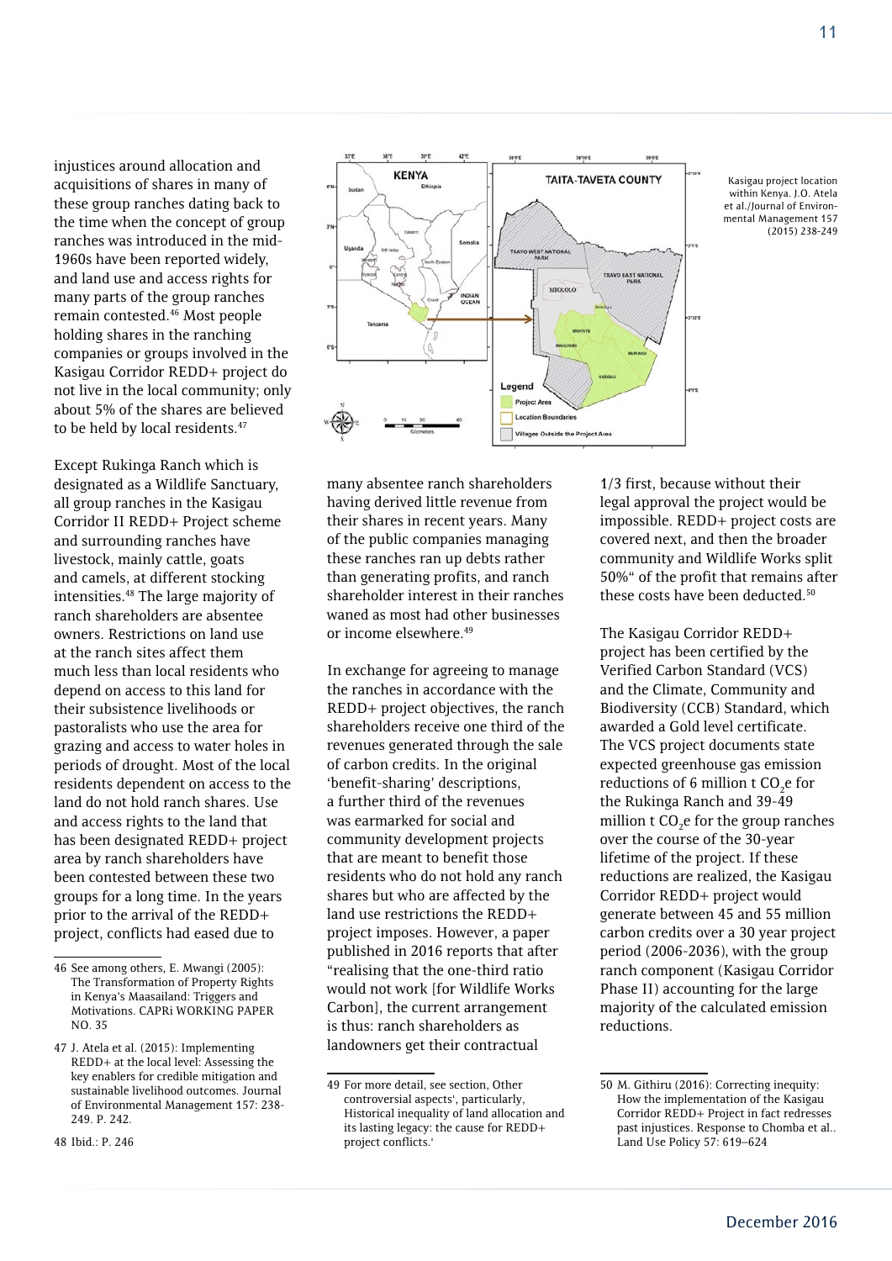injustices around allocation and acquisitions of shares in many of these group ranches dating back to the time when the concept of group ranches was introduced in the mid-1960s have been reported widely, and land use and access rights for many parts of the group ranches remain contested.46 Most people holding shares in the ranching companies or groups involved in the Kasigau Corridor REDD+ project do not live in the local community; only about 5% of the shares are believed to be held by local residents.<sup>47</sup>

Except Rukinga Ranch which is designated as a Wildlife Sanctuary, all group ranches in the Kasigau Corridor II REDD+ Project scheme and surrounding ranches have livestock, mainly cattle, goats and camels, at different stocking intensities.48 The large majority of ranch shareholders are absentee owners. Restrictions on land use at the ranch sites affect them much less than local residents who depend on access to this land for their subsistence livelihoods or pastoralists who use the area for grazing and access to water holes in periods of drought. Most of the local residents dependent on access to the land do not hold ranch shares. Use and access rights to the land that has been designated REDD+ project area by ranch shareholders have been contested between these two groups for a long time. In the years prior to the arrival of the REDD+ project, conflicts had eased due to



Kasigau project location within Kenya. J.O. Atela et al./Journal of Environmental Management 157 (2015) 238-249

many absentee ranch shareholders having derived little revenue from their shares in recent years. Many of the public companies managing these ranches ran up debts rather than generating profits, and ranch shareholder interest in their ranches waned as most had other businesses or income elsewhere.49

In exchange for agreeing to manage the ranches in accordance with the REDD+ project objectives, the ranch shareholders receive one third of the revenues generated through the sale of carbon credits. In the original 'benefit-sharing' descriptions, a further third of the revenues was earmarked for social and community development projects that are meant to benefit those residents who do not hold any ranch shares but who are affected by the land use restrictions the REDD+ project imposes. However, a paper published in 2016 reports that after "realising that the one-third ratio would not work [for Wildlife Works Carbon], the current arrangement is thus: ranch shareholders as landowners get their contractual

1/3 first, because without their legal approval the project would be impossible. REDD+ project costs are covered next, and then the broader community and Wildlife Works split 50%" of the profit that remains after these costs have been deducted.<sup>50</sup>

The Kasigau Corridor REDD+ project has been certified by the Verified Carbon Standard (VCS) and the Climate, Community and Biodiversity (CCB) Standard, which awarded a Gold level certificate. The VCS project documents state expected greenhouse gas emission reductions of 6 million t  $CO<sub>2</sub>e$  for the Rukinga Ranch and 39-49 million t  $CO<sub>2</sub>e$  for the group ranches over the course of the 30-year lifetime of the project. If these reductions are realized, the Kasigau Corridor REDD+ project would generate between 45 and 55 million carbon credits over a 30 year project period (2006-2036), with the group ranch component (Kasigau Corridor Phase II) accounting for the large majority of the calculated emission reductions.

<sup>46</sup> See among others, E. Mwangi (2005): The Transformation of Property Rights in Kenya's Maasailand: Triggers and Motivations. CAPRi WORKING PAPER NO. 35

<sup>47</sup> J. Atela et al. (2015): Implementing REDD+ at the local level: Assessing the key enablers for credible mitigation and sustainable livelihood outcomes. Journal of Environmental Management 157: 238- 249. P. 242.

<sup>48</sup> Ibid.: P. 246

<sup>49</sup> For more detail, see section, Other controversial aspects', particularly, Historical inequality of land allocation and its lasting legacy: the cause for REDD+ project conflicts.'

<sup>50</sup> M. Githiru (2016): Correcting inequity: How the implementation of the Kasigau Corridor REDD+ Project in fact redresses past injustices. Response to Chomba et al.. Land Use Policy 57: 619–624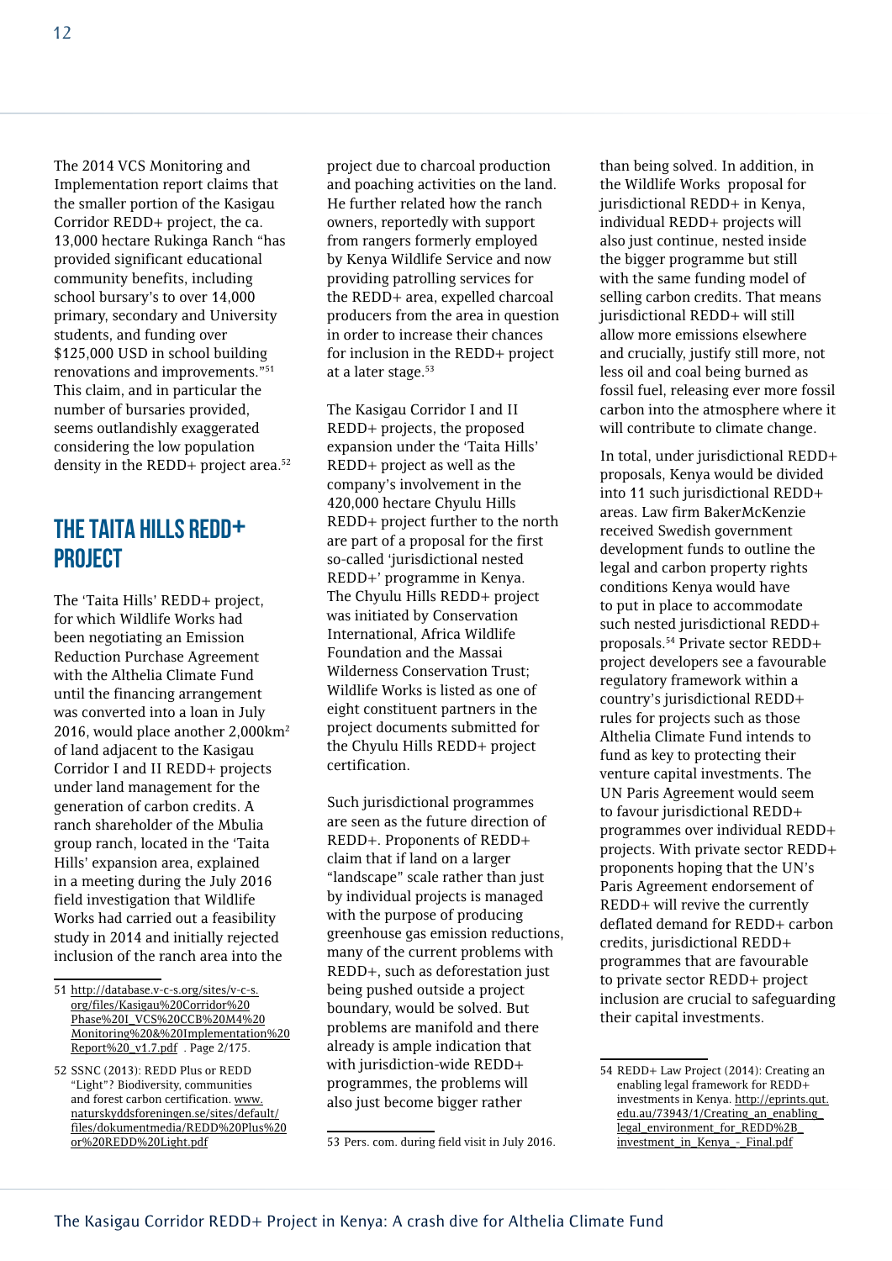The 2014 VCS Monitoring and Implementation report claims that the smaller portion of the Kasigau Corridor REDD+ project, the ca. 13,000 hectare Rukinga Ranch "has provided significant educational community benefits, including school bursary's to over 14,000 primary, secondary and University students, and funding over \$125,000 USD in school building renovations and improvements."51 This claim, and in particular the number of bursaries provided, seems outlandishly exaggerated considering the low population density in the REDD+ project area.<sup>52</sup>

#### The Taita Hills REDD+ project

The 'Taita Hills' REDD+ project, for which Wildlife Works had been negotiating an Emission Reduction Purchase Agreement with the Althelia Climate Fund until the financing arrangement was converted into a loan in July 2016, would place another 2,000km2 of land adjacent to the Kasigau Corridor I and II REDD+ projects under land management for the generation of carbon credits. A ranch shareholder of the Mbulia group ranch, located in the 'Taita Hills' expansion area, explained in a meeting during the July 2016 field investigation that Wildlife Works had carried out a feasibility study in 2014 and initially rejected inclusion of the ranch area into the

project due to charcoal production and poaching activities on the land. He further related how the ranch owners, reportedly with support from rangers formerly employed by Kenya Wildlife Service and now providing patrolling services for the REDD+ area, expelled charcoal producers from the area in question in order to increase their chances for inclusion in the REDD+ project at a later stage.<sup>53</sup>

The Kasigau Corridor I and II REDD+ projects, the proposed expansion under the 'Taita Hills' REDD+ project as well as the company's involvement in the 420,000 hectare Chyulu Hills REDD+ project further to the north are part of a proposal for the first so-called 'jurisdictional nested REDD+' programme in Kenya. The Chyulu Hills REDD+ project was initiated by Conservation International, Africa Wildlife Foundation and the Massai Wilderness Conservation Trust; Wildlife Works is listed as one of eight constituent partners in the project documents submitted for the Chyulu Hills REDD+ project certification.

Such jurisdictional programmes are seen as the future direction of REDD+. Proponents of REDD+ claim that if land on a larger "landscape" scale rather than just by individual projects is managed with the purpose of producing greenhouse gas emission reductions, many of the current problems with REDD+, such as deforestation just being pushed outside a project boundary, would be solved. But problems are manifold and there already is ample indication that with jurisdiction-wide REDD+ programmes, the problems will also just become bigger rather

than being solved. In addition, in the Wildlife Works proposal for jurisdictional REDD+ in Kenya, individual REDD+ projects will also just continue, nested inside the bigger programme but still with the same funding model of selling carbon credits. That means jurisdictional REDD+ will still allow more emissions elsewhere and crucially, justify still more, not less oil and coal being burned as fossil fuel, releasing ever more fossil carbon into the atmosphere where it will contribute to climate change.

In total, under jurisdictional REDD+ proposals, Kenya would be divided into 11 such jurisdictional REDD+ areas. Law firm BakerMcKenzie received Swedish government development funds to outline the legal and carbon property rights conditions Kenya would have to put in place to accommodate such nested jurisdictional REDD+ proposals.54 Private sector REDD+ project developers see a favourable regulatory framework within a country's jurisdictional REDD+ rules for projects such as those Althelia Climate Fund intends to fund as key to protecting their venture capital investments. The UN Paris Agreement would seem to favour jurisdictional REDD+ programmes over individual REDD+ projects. With private sector REDD+ proponents hoping that the UN's Paris Agreement endorsement of REDD+ will revive the currently deflated demand for REDD+ carbon credits, jurisdictional REDD+ programmes that are favourable to private sector REDD+ project inclusion are crucial to safeguarding their capital investments.

<sup>51</sup> [http://database.v-c-s.org/sites/v-c-s.](http://database.v-c-s.org/sites/v-c-s.org/files/Kasigau Corridor Phase I_VCS CCB M4 Monitoring & Implementation Report _v1.7.pdf) [org/files/Kasigau%20Corridor%20](http://database.v-c-s.org/sites/v-c-s.org/files/Kasigau Corridor Phase I_VCS CCB M4 Monitoring & Implementation Report _v1.7.pdf) [Phase%20I\\_VCS%20CCB%20M4%20](http://database.v-c-s.org/sites/v-c-s.org/files/Kasigau Corridor Phase I_VCS CCB M4 Monitoring & Implementation Report _v1.7.pdf) [Monitoring%20&%20Implementation%20](http://database.v-c-s.org/sites/v-c-s.org/files/Kasigau Corridor Phase I_VCS CCB M4 Monitoring & Implementation Report _v1.7.pdf) [Report%20\\_v1.7.pdf](http://database.v-c-s.org/sites/v-c-s.org/files/Kasigau Corridor Phase I_VCS CCB M4 Monitoring & Implementation Report _v1.7.pdf) . Page 2/175.

<sup>52</sup> SSNC (2013): REDD Plus or REDD "Light"? Biodiversity, communities and forest carbon certification. [www.](http://www.naturskyddsforeningen.se/sites/default/files/dokumentmedia/REDD Plus or REDD Light.pdf) [naturskyddsforeningen.se/sites/default/](http://www.naturskyddsforeningen.se/sites/default/files/dokumentmedia/REDD Plus or REDD Light.pdf) [files/dokumentmedia/REDD%20Plus%20](http://www.naturskyddsforeningen.se/sites/default/files/dokumentmedia/REDD Plus or REDD Light.pdf) [or%20REDD%20Light.pdf](http://www.naturskyddsforeningen.se/sites/default/files/dokumentmedia/REDD Plus or REDD Light.pdf)

<sup>53</sup> Pers. com. during field visit in July 2016.

<sup>54</sup> REDD+ Law Project (2014): Creating an enabling legal framework for REDD+ investments in Kenya. [http://eprints.qut.](http://eprints.qut.edu.au/73943/1/Creating_an_enabling_legal_environment_for_REDD%2B_investment_in_Kenya_-_Final.pdf) [edu.au/73943/1/Creating\\_an\\_enabling\\_](http://eprints.qut.edu.au/73943/1/Creating_an_enabling_legal_environment_for_REDD%2B_investment_in_Kenya_-_Final.pdf) [legal\\_environment\\_for\\_REDD%2B\\_](http://eprints.qut.edu.au/73943/1/Creating_an_enabling_legal_environment_for_REDD%2B_investment_in_Kenya_-_Final.pdf) [investment\\_in\\_Kenya\\_-\\_Final.pdf](http://eprints.qut.edu.au/73943/1/Creating_an_enabling_legal_environment_for_REDD%2B_investment_in_Kenya_-_Final.pdf)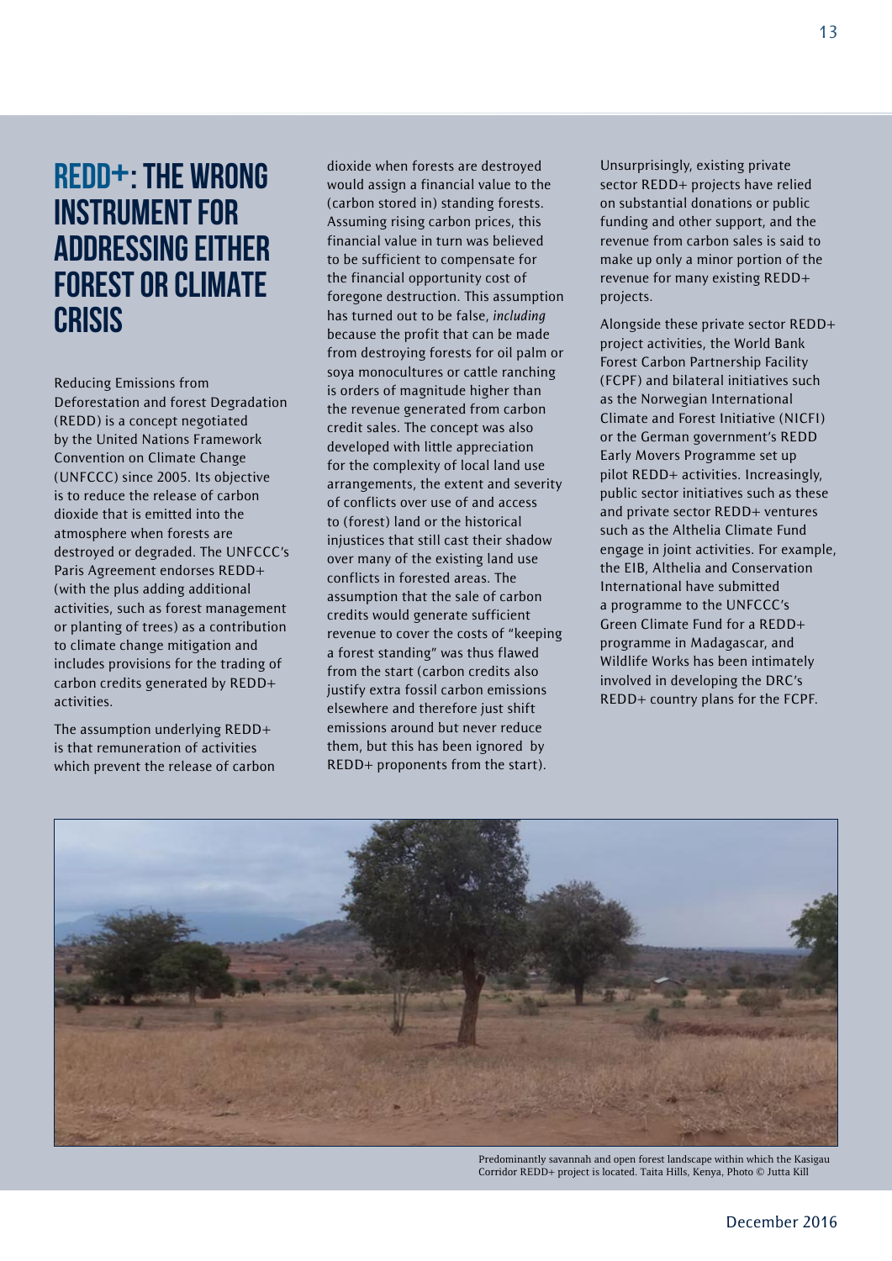### REDD+: the wrong instrument for addressing either forest or climate **CRISIS**

Reducing Emissions from Deforestation and forest Degradation (REDD) is a concept negotiated by the United Nations Framework Convention on Climate Change (UNFCCC) since 2005. Its objective is to reduce the release of carbon dioxide that is emitted into the atmosphere when forests are destroyed or degraded. The UNFCCC's Paris Agreement endorses REDD+ (with the plus adding additional activities, such as forest management or planting of trees) as a contribution to climate change mitigation and includes provisions for the trading of carbon credits generated by REDD+ activities.

The assumption underlying REDD+ is that remuneration of activities which prevent the release of carbon dioxide when forests are destroyed would assign a financial value to the (carbon stored in) standing forests. Assuming rising carbon prices, this financial value in turn was believed to be sufficient to compensate for the financial opportunity cost of foregone destruction. This assumption has turned out to be false, *including* because the profit that can be made from destroying forests for oil palm or soya monocultures or cattle ranching is orders of magnitude higher than the revenue generated from carbon credit sales. The concept was also developed with little appreciation for the complexity of local land use arrangements, the extent and severity of conflicts over use of and access to (forest) land or the historical injustices that still cast their shadow over many of the existing land use conflicts in forested areas. The assumption that the sale of carbon credits would generate sufficient revenue to cover the costs of "keeping a forest standing" was thus flawed from the start (carbon credits also justify extra fossil carbon emissions elsewhere and therefore just shift emissions around but never reduce them, but this has been ignored by REDD+ proponents from the start).

Unsurprisingly, existing private sector REDD+ projects have relied on substantial donations or public funding and other support, and the revenue from carbon sales is said to make up only a minor portion of the revenue for many existing REDD+ projects.

Alongside these private sector REDD+ project activities, the World Bank Forest Carbon Partnership Facility (FCPF) and bilateral initiatives such as the Norwegian International Climate and Forest Initiative (NICFI) or the German government's REDD Early Movers Programme set up pilot REDD+ activities. Increasingly, public sector initiatives such as these and private sector REDD+ ventures such as the Althelia Climate Fund engage in joint activities. For example, the EIB, Althelia and Conservation International have submitted a programme to the UNFCCC's Green Climate Fund for a REDD+ programme in Madagascar, and Wildlife Works has been intimately involved in developing the DRC's REDD+ country plans for the FCPF.



Predominantly savannah and open forest landscape within which the Kasigau Corridor REDD+ project is located. Taita Hills, Kenya, Photo © Jutta Kill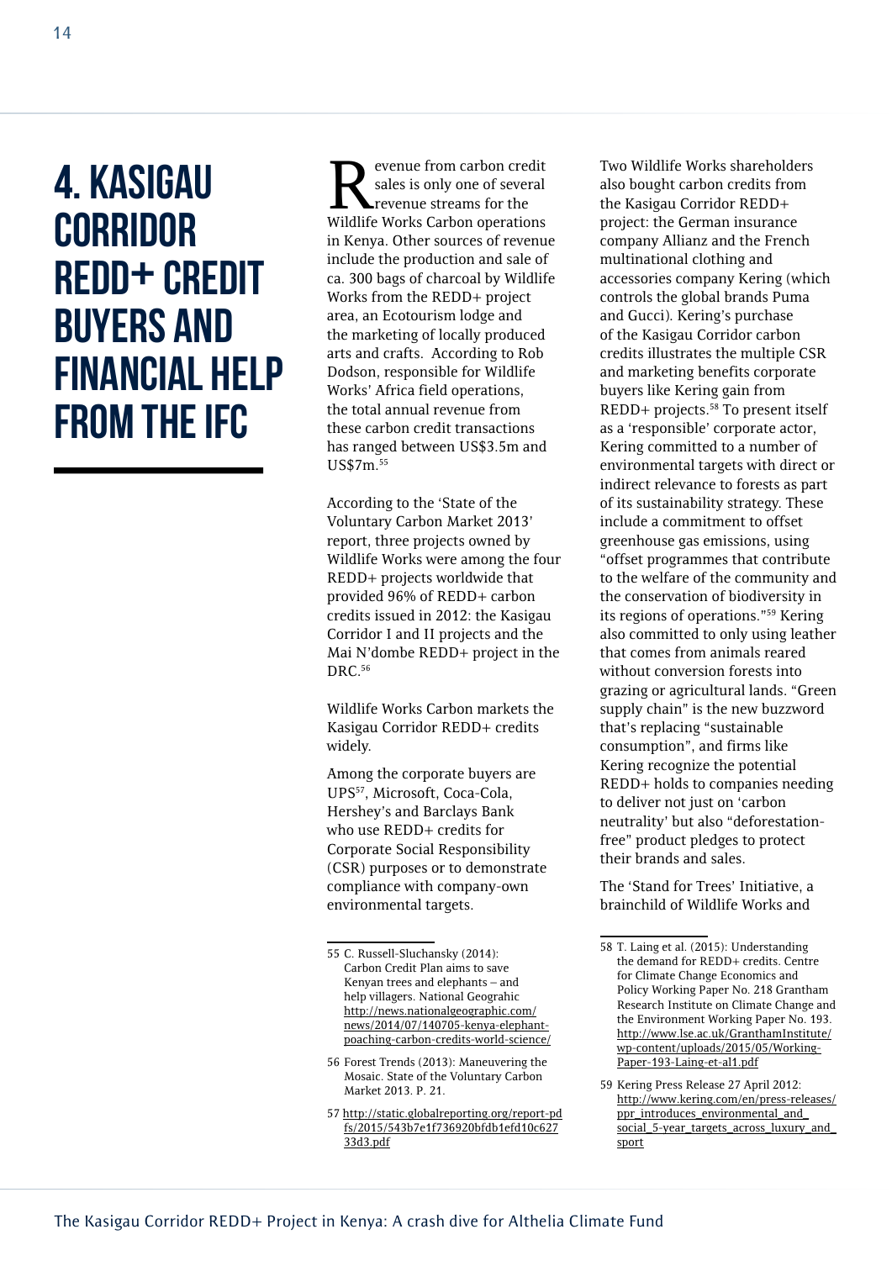### 4. Kasigau **CORRIDOR** REDD+ credit buyers and financial help from the IFC

evenue from carbon credit sales is only one of several revenue streams for the Wildlife Works Carbon operations in Kenya. Other sources of revenue include the production and sale of ca. 300 bags of charcoal by Wildlife Works from the REDD+ project area, an Ecotourism lodge and the marketing of locally produced arts and crafts. According to Rob Dodson, responsible for Wildlife Works' Africa field operations, the total annual revenue from these carbon credit transactions has ranged between US\$3.5m and US\$7m.55

According to the 'State of the Voluntary Carbon Market 2013' report, three projects owned by Wildlife Works were among the four REDD+ projects worldwide that provided 96% of REDD+ carbon credits issued in 2012: the Kasigau Corridor I and II projects and the Mai N'dombe REDD+ project in the DRC.56

Wildlife Works Carbon markets the Kasigau Corridor REDD+ credits widely.

Among the corporate buyers are UPS57, Microsoft, Coca-Cola, Hershey's and Barclays Bank who use REDD+ credits for Corporate Social Responsibility (CSR) purposes or to demonstrate compliance with company-own environmental targets.

- 56 Forest Trends (2013): Maneuvering the Mosaic. State of the Voluntary Carbon Market 2013. P. 21.
- 57 [http://static.globalreporting.org/report-pd](http://static.globalreporting.org/report-pdfs/2015/543b7e1f736920bfdb1efd10c62733d3.pdf) [fs/2015/543b7e1f736920bfdb1efd10c627](http://static.globalreporting.org/report-pdfs/2015/543b7e1f736920bfdb1efd10c62733d3.pdf) [33d3.pdf](http://static.globalreporting.org/report-pdfs/2015/543b7e1f736920bfdb1efd10c62733d3.pdf)

Two Wildlife Works shareholders also bought carbon credits from the Kasigau Corridor REDD+ project: the German insurance company Allianz and the French multinational clothing and accessories company Kering (which controls the global brands Puma and Gucci). Kering's purchase of the Kasigau Corridor carbon credits illustrates the multiple CSR and marketing benefits corporate buyers like Kering gain from REDD+ projects.58 To present itself as a 'responsible' corporate actor, Kering committed to a number of environmental targets with direct or indirect relevance to forests as part of its sustainability strategy. These include a commitment to offset greenhouse gas emissions, using "offset programmes that contribute to the welfare of the community and the conservation of biodiversity in its regions of operations."59 Kering also committed to only using leather that comes from animals reared without conversion forests into grazing or agricultural lands. "Green supply chain" is the new buzzword that's replacing "sustainable consumption", and firms like Kering recognize the potential REDD+ holds to companies needing to deliver not just on 'carbon neutrality' but also "deforestationfree" product pledges to protect their brands and sales.

The 'Stand for Trees' Initiative, a brainchild of Wildlife Works and

<sup>55</sup> C. Russell-Sluchansky (2014): Carbon Credit Plan aims to save Kenyan trees and elephants – and help villagers. National Geograhic [http://news.nationalgeographic.com/](http://news.nationalgeographic.com/news/2014/07/140705-kenya-elephant-poaching-carbon-credits-world-science/) [news/2014/07/140705-kenya-elephant](http://news.nationalgeographic.com/news/2014/07/140705-kenya-elephant-poaching-carbon-credits-world-science/)[poaching-carbon-credits-world-science/](http://news.nationalgeographic.com/news/2014/07/140705-kenya-elephant-poaching-carbon-credits-world-science/)

<sup>58</sup> T. Laing et al. (2015): Understanding the demand for REDD+ credits. Centre for Climate Change Economics and Policy Working Paper No. 218 Grantham Research Institute on Climate Change and the Environment Working Paper No. 193. [http://www.lse.ac.uk/GranthamInstitute/](http://www.lse.ac.uk/GranthamInstitute/wp-content/uploads/2015/05/Working-Paper-193-Laing-et-al1.pdf) [wp-content/uploads/2015/05/Working-](http://www.lse.ac.uk/GranthamInstitute/wp-content/uploads/2015/05/Working-Paper-193-Laing-et-al1.pdf)[Paper-193-Laing-et-al1.pdf](http://www.lse.ac.uk/GranthamInstitute/wp-content/uploads/2015/05/Working-Paper-193-Laing-et-al1.pdf)

<sup>59</sup> Kering Press Release 27 April 2012: [http://www.kering.com/en/press-releases/](http://www.kering.com/en/press-releases/ppr_introduces_environmental_and_social_5-year_targets_across_luxury_and_sport) [ppr\\_introduces\\_environmental\\_and\\_](http://www.kering.com/en/press-releases/ppr_introduces_environmental_and_social_5-year_targets_across_luxury_and_sport) [social\\_5-year\\_targets\\_across\\_luxury\\_and\\_](http://www.kering.com/en/press-releases/ppr_introduces_environmental_and_social_5-year_targets_across_luxury_and_sport) [sport](http://www.kering.com/en/press-releases/ppr_introduces_environmental_and_social_5-year_targets_across_luxury_and_sport)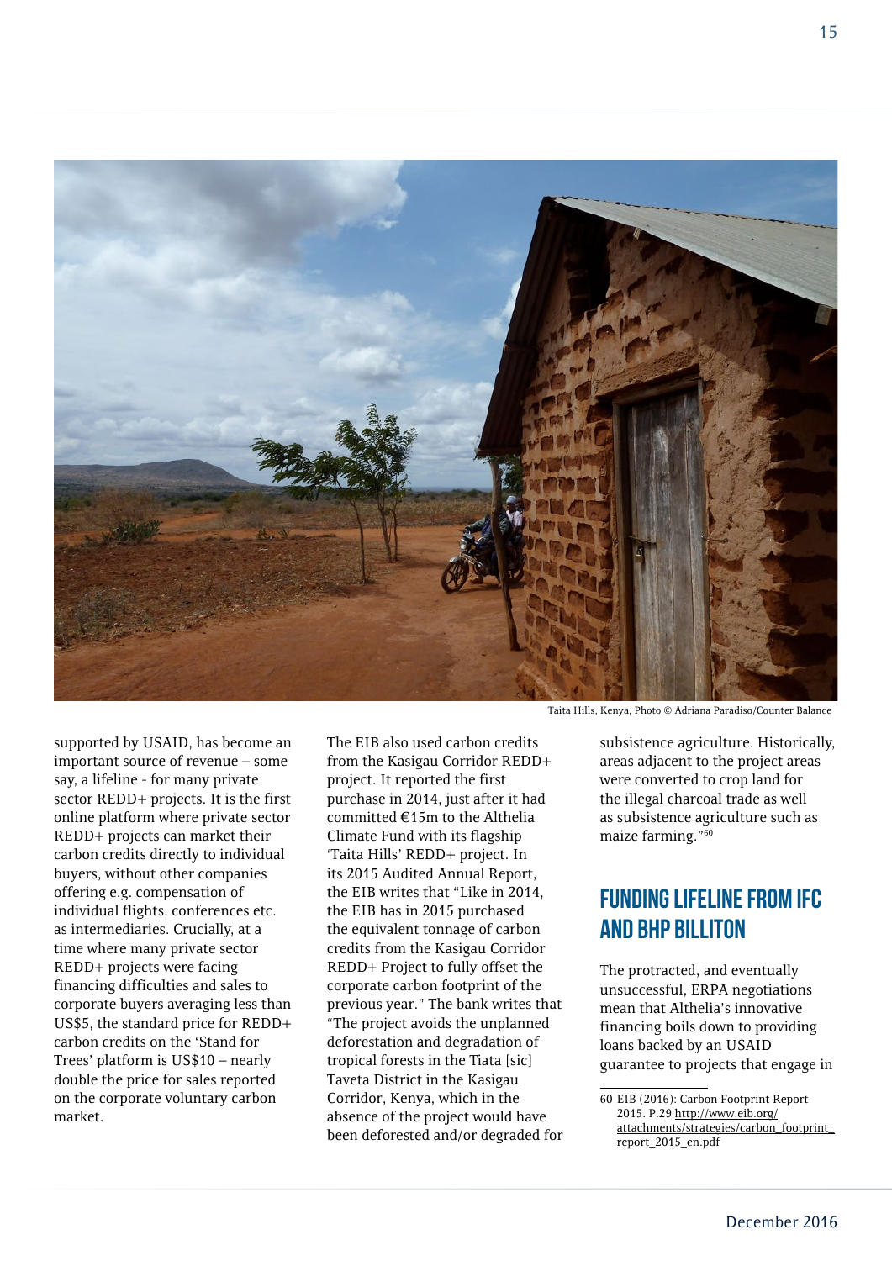

supported by USAID, has become an important source of revenue – some say, a lifeline - for many private sector REDD+ projects. It is the first online platform where private sector REDD+ projects can market their carbon credits directly to individual buyers, without other companies offering e.g. compensation of individual flights, conferences etc. as intermediaries. Crucially, at a time where many private sector REDD+ projects were facing financing difficulties and sales to corporate buyers averaging less than US\$5, the standard price for REDD+ carbon credits on the 'Stand for Trees' platform is US\$10 – nearly double the price for sales reported on the corporate voluntary carbon market.

The EIB also used carbon credits from the Kasigau Corridor REDD+ project. It reported the first purchase in 2014, just after it had committed €15m to the Althelia Climate Fund with its flagship 'Taita Hills' REDD+ project. In its 2015 Audited Annual Report, the EIB writes that "Like in 2014, the EIB has in 2015 purchased the equivalent tonnage of carbon credits from the Kasigau Corridor REDD+ Project to fully offset the corporate carbon footprint of the previous year." The bank writes that "The project avoids the unplanned deforestation and degradation of tropical forests in the Tiata [sic] Taveta District in the Kasigau Corridor, Kenya, which in the absence of the project would have been deforested and/or degraded for

Taita Hills, Kenya, Photo © Adriana Paradiso/Counter Balance

subsistence agriculture. Historically, areas adjacent to the project areas were converted to crop land for the illegal charcoal trade as well as subsistence agriculture such as maize farming."60

#### Funding lifeline from IFC and BHP Billiton

The protracted, and eventually unsuccessful, ERPA negotiations mean that Althelia's innovative financing boils down to providing loans backed by an USAID guarantee to projects that engage in

<sup>60</sup> EIB (2016): Carbon Footprint Report 2015. P.29 [http://www.eib.org/](http://www.eib.org/attachments/strategies/carbon_footprint_report_2015_en.pdf) [attachments/strategies/carbon\\_footprint\\_](http://www.eib.org/attachments/strategies/carbon_footprint_report_2015_en.pdf) [report\\_2015\\_en.pdf](http://www.eib.org/attachments/strategies/carbon_footprint_report_2015_en.pdf)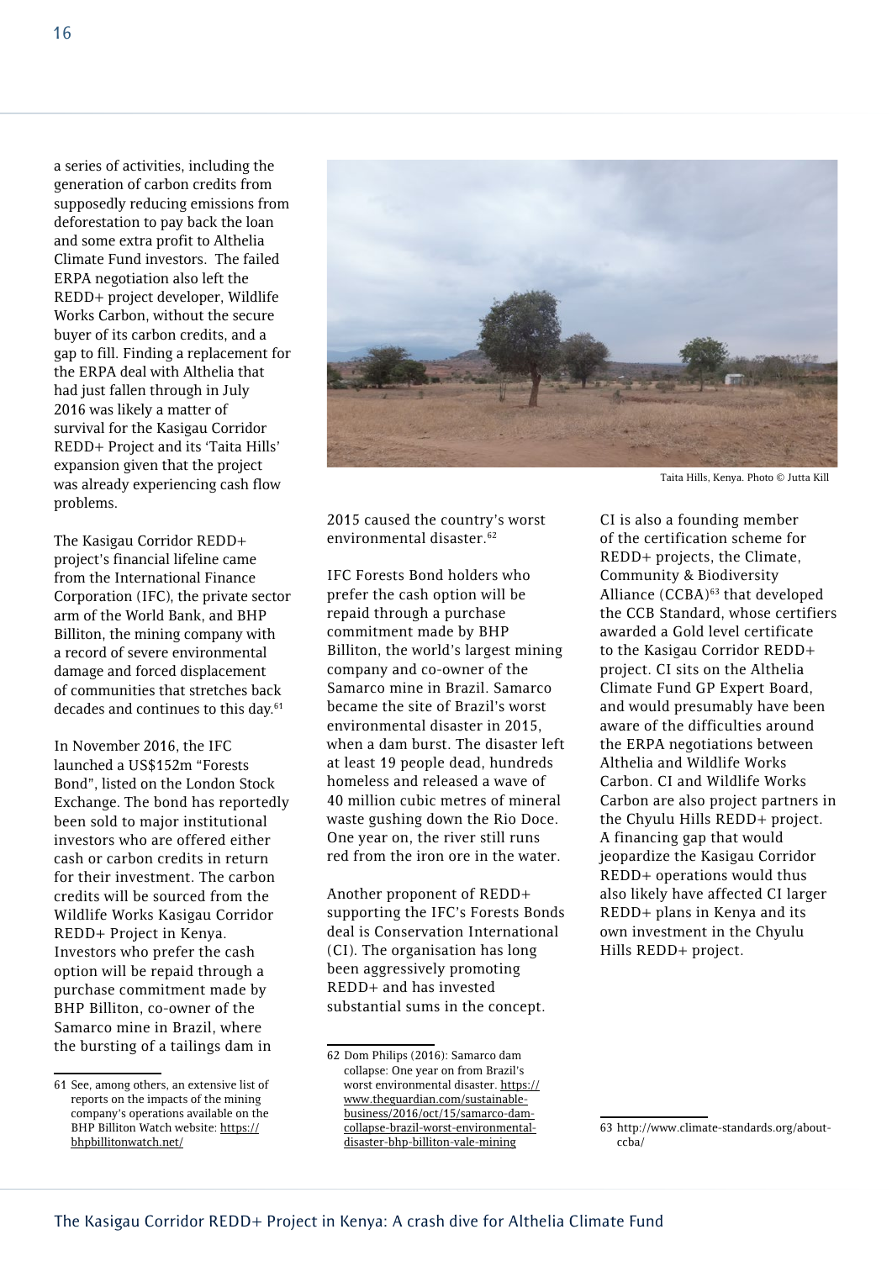a series of activities, including the generation of carbon credits from supposedly reducing emissions from deforestation to pay back the loan and some extra profit to Althelia Climate Fund investors. The failed ERPA negotiation also left the REDD+ project developer, Wildlife Works Carbon, without the secure buyer of its carbon credits, and a gap to fill. Finding a replacement for the ERPA deal with Althelia that had just fallen through in July 2016 was likely a matter of survival for the Kasigau Corridor REDD+ Project and its 'Taita Hills' expansion given that the project was already experiencing cash flow problems.

The Kasigau Corridor REDD+ project's financial lifeline came from the International Finance Corporation (IFC), the private sector arm of the World Bank, and BHP Billiton, the mining company with a record of severe environmental damage and forced displacement of communities that stretches back decades and continues to this day.<sup>61</sup>

In November 2016, the IFC launched a US\$152m "Forests Bond", listed on the London Stock Exchange. The bond has reportedly been sold to major institutional investors who are offered either cash or carbon credits in return for their investment. The carbon credits will be sourced from the Wildlife Works Kasigau Corridor REDD+ Project in Kenya. Investors who prefer the cash option will be repaid through a purchase commitment made by BHP Billiton, co-owner of the Samarco mine in Brazil, where the bursting of a tailings dam in



2015 caused the country's worst environmental disaster.<sup>62</sup>

IFC Forests Bond holders who prefer the cash option will be repaid through a purchase commitment made by BHP Billiton, the world's largest mining company and co-owner of the Samarco mine in Brazil. Samarco became the site of Brazil's worst environmental disaster in 2015, when a dam burst. The disaster left at least 19 people dead, hundreds homeless and released a wave of 40 million cubic metres of mineral waste gushing down the Rio Doce. One year on, the river still runs red from the iron ore in the water.

Another proponent of REDD+ supporting the IFC's Forests Bonds deal is Conservation International (CI). The organisation has long been aggressively promoting REDD+ and has invested substantial sums in the concept.

Taita Hills, Kenya. Photo © Jutta Kill

CI is also a founding member of the certification scheme for REDD+ projects, the Climate, Community & Biodiversity Alliance (CCBA)<sup>63</sup> that developed the CCB Standard, whose certifiers awarded a Gold level certificate to the Kasigau Corridor REDD+ project. CI sits on the Althelia Climate Fund GP Expert Board, and would presumably have been aware of the difficulties around the ERPA negotiations between Althelia and Wildlife Works Carbon. CI and Wildlife Works Carbon are also project partners in the Chyulu Hills REDD+ project. A financing gap that would jeopardize the Kasigau Corridor REDD+ operations would thus also likely have affected CI larger REDD+ plans in Kenya and its own investment in the Chyulu Hills REDD+ project.

<sup>61</sup> See, among others, an extensive list of reports on the impacts of the mining company's operations available on the BHP Billiton Watch website: [https://](https://bhpbillitonwatch.net/) [bhpbillitonwatch.net/](https://bhpbillitonwatch.net/)

<sup>62</sup> Dom Philips (2016): Samarco dam collapse: One year on from Brazil's worst environmental disaster. [https://](https://www.theguardian.com/sustainable-business/2016/oct/15/samarco-dam-collapse-brazil-worst-environmental-disaster-bhp-billiton-vale-mining) [www.theguardian.com/sustainable](https://www.theguardian.com/sustainable-business/2016/oct/15/samarco-dam-collapse-brazil-worst-environmental-disaster-bhp-billiton-vale-mining)[business/2016/oct/15/samarco-dam](https://www.theguardian.com/sustainable-business/2016/oct/15/samarco-dam-collapse-brazil-worst-environmental-disaster-bhp-billiton-vale-mining)[collapse-brazil-worst-environmental](https://www.theguardian.com/sustainable-business/2016/oct/15/samarco-dam-collapse-brazil-worst-environmental-disaster-bhp-billiton-vale-mining)[disaster-bhp-billiton-vale-mining](https://www.theguardian.com/sustainable-business/2016/oct/15/samarco-dam-collapse-brazil-worst-environmental-disaster-bhp-billiton-vale-mining)

<sup>63</sup> http://www.climate-standards.org/aboutccba/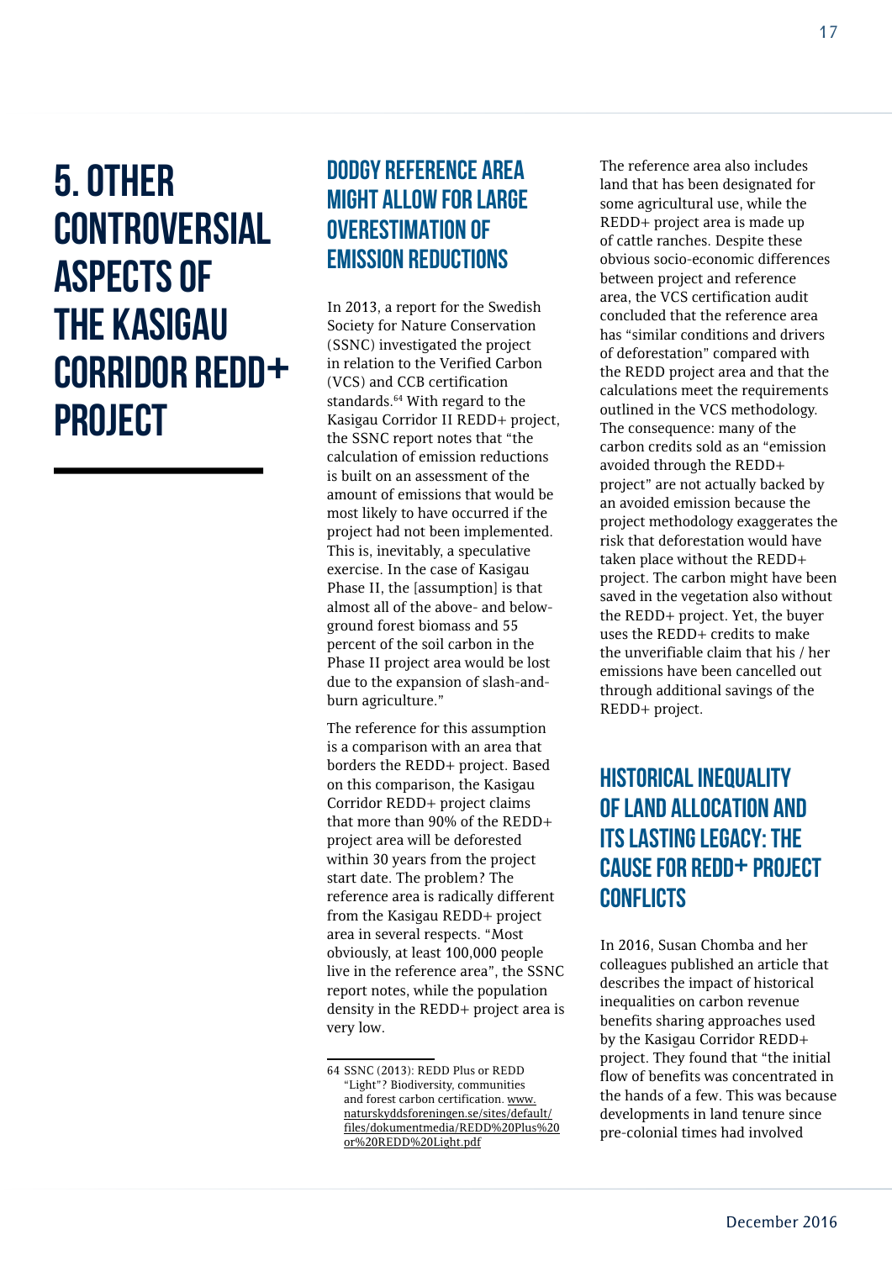5. Other **CONTROVERSIAL** aspects of the Kasigau Corridor REDD+ project

#### Dodgy reference area might allow for large overestimation of emission reductions

In 2013, a report for the Swedish Society for Nature Conservation (SSNC) investigated the project in relation to the Verified Carbon (VCS) and CCB certification standards.<sup>64</sup> With regard to the Kasigau Corridor II REDD+ project, the SSNC report notes that "the calculation of emission reductions is built on an assessment of the amount of emissions that would be most likely to have occurred if the project had not been implemented. This is, inevitably, a speculative exercise. In the case of Kasigau Phase II, the [assumption] is that almost all of the above- and belowground forest biomass and 55 percent of the soil carbon in the Phase II project area would be lost due to the expansion of slash-andburn agriculture."

The reference for this assumption is a comparison with an area that borders the REDD+ project. Based on this comparison, the Kasigau Corridor REDD+ project claims that more than 90% of the REDD+ project area will be deforested within 30 years from the project start date. The problem? The reference area is radically different from the Kasigau REDD+ project area in several respects. "Most obviously, at least 100,000 people live in the reference area", the SSNC report notes, while the population density in the REDD+ project area is very low.

The reference area also includes land that has been designated for some agricultural use, while the REDD+ project area is made up of cattle ranches. Despite these obvious socio-economic differences between project and reference area, the VCS certification audit concluded that the reference area has "similar conditions and drivers of deforestation" compared with the REDD project area and that the calculations meet the requirements outlined in the VCS methodology. The consequence: many of the carbon credits sold as an "emission avoided through the REDD+ project" are not actually backed by an avoided emission because the project methodology exaggerates the risk that deforestation would have taken place without the REDD+ project. The carbon might have been saved in the vegetation also without the REDD+ project. Yet, the buyer uses the REDD+ credits to make the unverifiable claim that his / her emissions have been cancelled out through additional savings of the REDD+ project.

#### Historical inequality of land allocation and its lasting legacy: the cause for REDD+ project **CONFLICTS**

In 2016, Susan Chomba and her colleagues published an article that describes the impact of historical inequalities on carbon revenue benefits sharing approaches used by the Kasigau Corridor REDD+ project. They found that "the initial flow of benefits was concentrated in the hands of a few. This was because developments in land tenure since pre-colonial times had involved

<sup>64</sup> SSNC (2013): REDD Plus or REDD "Light"? Biodiversity, communities and forest carbon certification. [www.](http://www.naturskyddsforeningen.se/sites/default/files/dokumentmedia/REDD Plus or REDD Light.pdf) [naturskyddsforeningen.se/sites/default/](http://www.naturskyddsforeningen.se/sites/default/files/dokumentmedia/REDD Plus or REDD Light.pdf) [files/dokumentmedia/REDD%20Plus%20](http://www.naturskyddsforeningen.se/sites/default/files/dokumentmedia/REDD Plus or REDD Light.pdf) [or%20REDD%20Light.pdf](http://www.naturskyddsforeningen.se/sites/default/files/dokumentmedia/REDD Plus or REDD Light.pdf)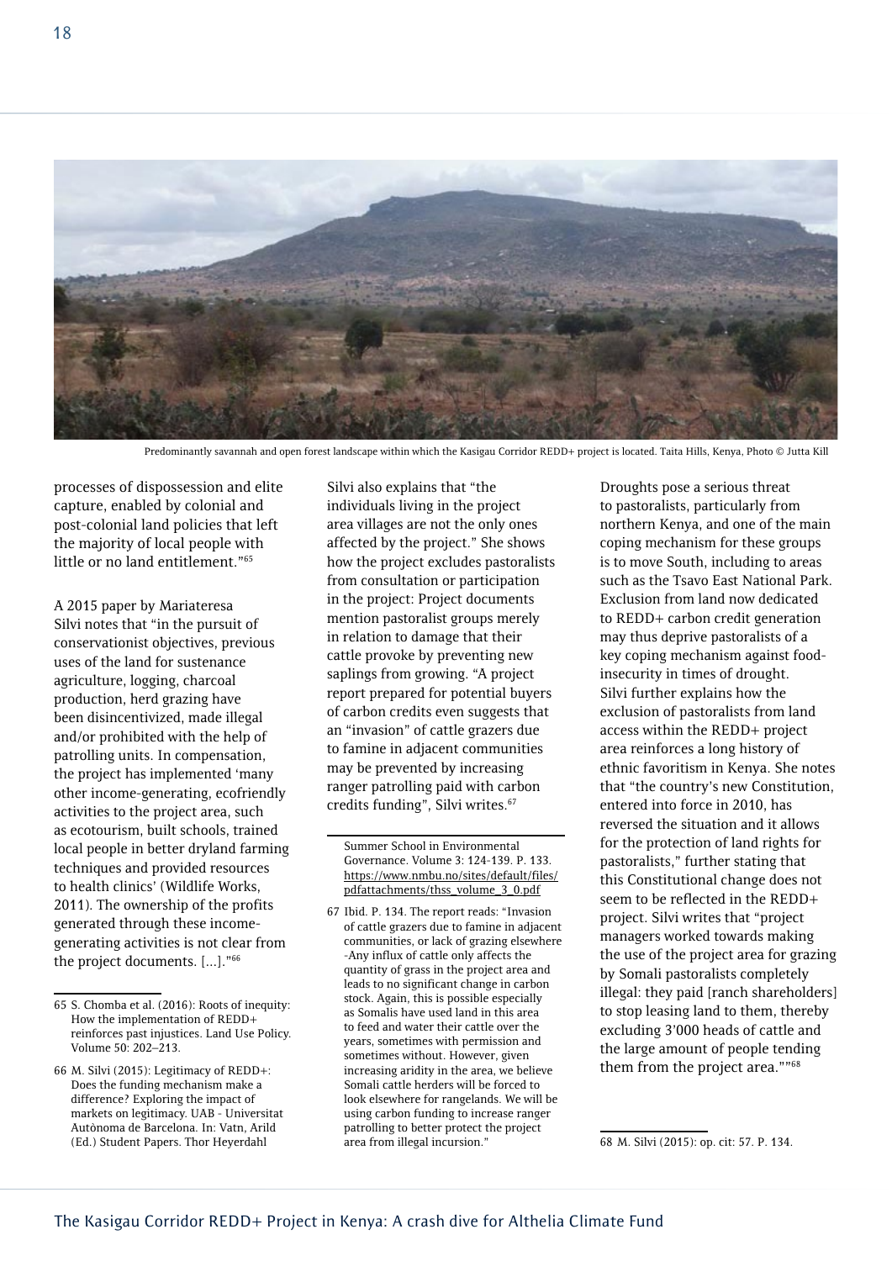

Predominantly savannah and open forest landscape within which the Kasigau Corridor REDD+ project is located. Taita Hills, Kenya, Photo © Jutta Kill

processes of dispossession and elite capture, enabled by colonial and post-colonial land policies that left the majority of local people with little or no land entitlement."65

A 2015 paper by Mariateresa Silvi notes that "in the pursuit of conservationist objectives, previous uses of the land for sustenance agriculture, logging, charcoal production, herd grazing have been disincentivized, made illegal and/or prohibited with the help of patrolling units. In compensation, the project has implemented 'many other income-generating, ecofriendly activities to the project area, such as ecotourism, built schools, trained local people in better dryland farming techniques and provided resources to health clinics' (Wildlife Works, 2011). The ownership of the profits generated through these incomegenerating activities is not clear from the project documents. [...]."66

Silvi also explains that "the individuals living in the project area villages are not the only ones affected by the project." She shows how the project excludes pastoralists from consultation or participation in the project: Project documents mention pastoralist groups merely in relation to damage that their cattle provoke by preventing new saplings from growing. "A project report prepared for potential buyers of carbon credits even suggests that an "invasion" of cattle grazers due to famine in adjacent communities may be prevented by increasing ranger patrolling paid with carbon credits funding", Silvi writes.<sup>67</sup>

Droughts pose a serious threat to pastoralists, particularly from northern Kenya, and one of the main coping mechanism for these groups is to move South, including to areas such as the Tsavo East National Park. Exclusion from land now dedicated to REDD+ carbon credit generation may thus deprive pastoralists of a key coping mechanism against foodinsecurity in times of drought. Silvi further explains how the exclusion of pastoralists from land access within the REDD+ project area reinforces a long history of ethnic favoritism in Kenya. She notes that "the country's new Constitution, entered into force in 2010, has reversed the situation and it allows for the protection of land rights for pastoralists," further stating that this Constitutional change does not seem to be reflected in the REDD+ project. Silvi writes that "project managers worked towards making the use of the project area for grazing by Somali pastoralists completely illegal: they paid [ranch shareholders] to stop leasing land to them, thereby excluding 3'000 heads of cattle and the large amount of people tending them from the project area.""68

<sup>65</sup> S. Chomba et al. (2016): Roots of inequity: How the implementation of REDD+ reinforces past injustices. Land Use Policy. Volume 50: 202–213.

<sup>66</sup> M. Silvi (2015): Legitimacy of REDD+: Does the funding mechanism make a difference? Exploring the impact of markets on legitimacy. UAB - Universitat Autònoma de Barcelona. In: Vatn, Arild (Ed.) Student Papers. Thor Heyerdahl

Summer School in Environmental Governance. Volume 3: 124-139. P. 133. [https://www.nmbu.no/sites/default/files/](https://www.nmbu.no/sites/default/files/pdfattachments/thss_volume_3_0.pdf) [pdfattachments/thss\\_volume\\_3\\_0.pdf](https://www.nmbu.no/sites/default/files/pdfattachments/thss_volume_3_0.pdf)

<sup>67</sup> Ibid. P. 134. The report reads: "Invasion of cattle grazers due to famine in adjacent communities, or lack of grazing elsewhere -Any influx of cattle only affects the quantity of grass in the project area and leads to no significant change in carbon stock. Again, this is possible especially as Somalis have used land in this area to feed and water their cattle over the years, sometimes with permission and sometimes without. However, given increasing aridity in the area, we believe Somali cattle herders will be forced to look elsewhere for rangelands. We will be using carbon funding to increase ranger patrolling to better protect the project area from illegal incursion."

<sup>68</sup> M. Silvi (2015): op. cit: 57. P. 134.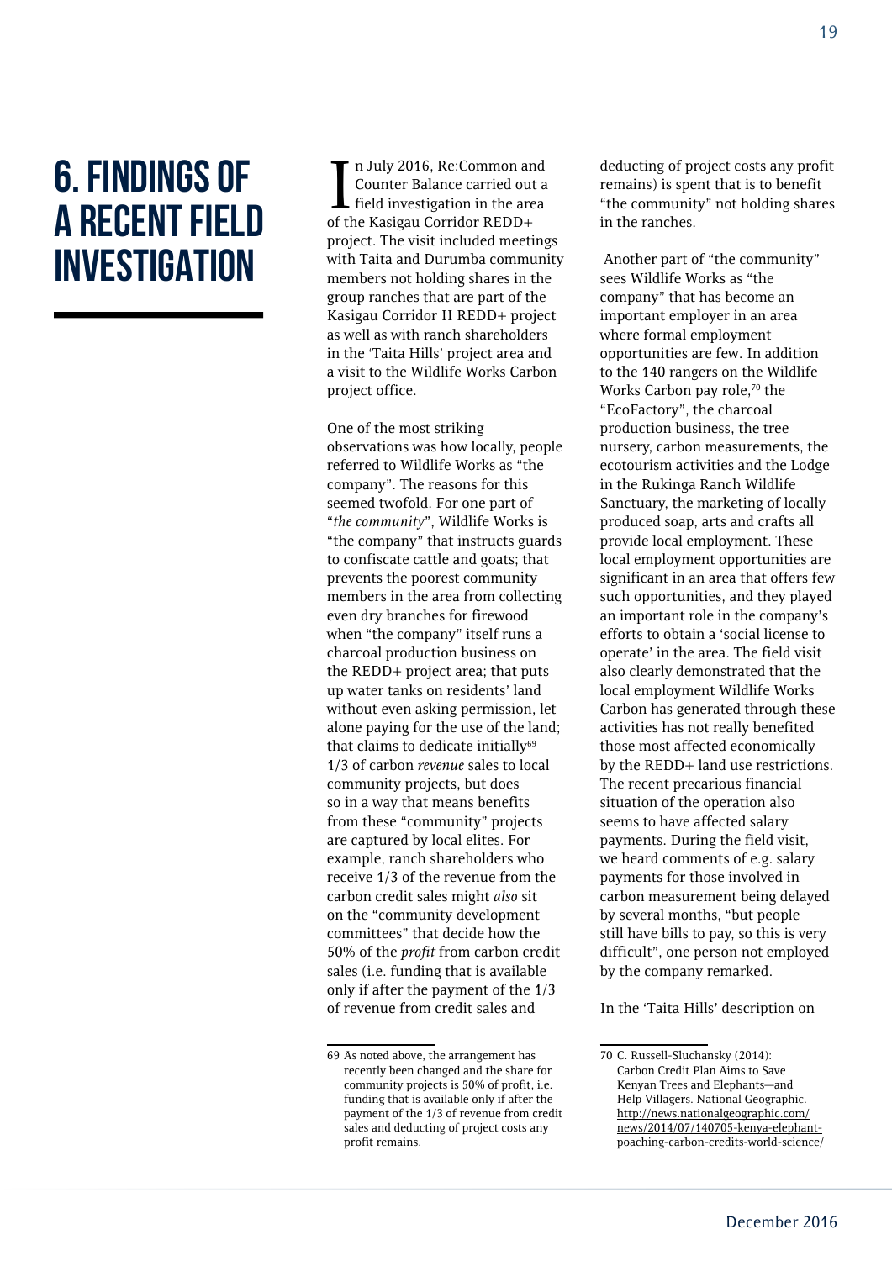### 6. Findings of a recent field **INVESTIGATION**

In July 2016, Re:Common an<br>Counter Balance carried out<br>field investigation in the are<br>of the Kasigau Corridor REDD+ n July 2016, Re:Common and Counter Balance carried out a field investigation in the area project. The visit included meetings with Taita and Durumba community members not holding shares in the group ranches that are part of the Kasigau Corridor II REDD+ project as well as with ranch shareholders in the 'Taita Hills' project area and a visit to the Wildlife Works Carbon project office.

One of the most striking observations was how locally, people referred to Wildlife Works as "the company". The reasons for this seemed twofold. For one part of "*the community*", Wildlife Works is "the company" that instructs guards to confiscate cattle and goats; that prevents the poorest community members in the area from collecting even dry branches for firewood when "the company" itself runs a charcoal production business on the REDD+ project area; that puts up water tanks on residents' land without even asking permission, let alone paying for the use of the land; that claims to dedicate initially $69$ 1/3 of carbon *revenue* sales to local community projects, but does so in a way that means benefits from these "community" projects are captured by local elites. For example, ranch shareholders who receive 1/3 of the revenue from the carbon credit sales might *also* sit on the "community development committees" that decide how the 50% of the *profit* from carbon credit sales (i.e. funding that is available only if after the payment of the 1/3 of revenue from credit sales and

deducting of project costs any profit remains) is spent that is to benefit "the community" not holding shares in the ranches.

 Another part of "the community" sees Wildlife Works as "the company" that has become an important employer in an area where formal employment opportunities are few. In addition to the 140 rangers on the Wildlife Works Carbon pay role.<sup>70</sup> the "EcoFactory", the charcoal production business, the tree nursery, carbon measurements, the ecotourism activities and the Lodge in the Rukinga Ranch Wildlife Sanctuary, the marketing of locally produced soap, arts and crafts all provide local employment. These local employment opportunities are significant in an area that offers few such opportunities, and they played an important role in the company's efforts to obtain a 'social license to operate' in the area. The field visit also clearly demonstrated that the local employment Wildlife Works Carbon has generated through these activities has not really benefited those most affected economically by the REDD+ land use restrictions. The recent precarious financial situation of the operation also seems to have affected salary payments. During the field visit, we heard comments of e.g. salary payments for those involved in carbon measurement being delayed by several months, "but people still have bills to pay, so this is very difficult", one person not employed by the company remarked.

In the 'Taita Hills' description on

<sup>69</sup> As noted above, the arrangement has recently been changed and the share for community projects is 50% of profit, i.e. funding that is available only if after the payment of the 1/3 of revenue from credit sales and deducting of project costs any profit remains.

<sup>70</sup> C. Russell-Sluchansky (2014): Carbon Credit Plan Aims to Save Kenyan Trees and Elephants—and Help Villagers. National Geographic. [http://news.nationalgeographic.com/](http://news.nationalgeographic.com/news/2014/07/140705-kenya-elephant-poaching-carbon-credits-world-science/) [news/2014/07/140705-kenya-elephant](http://news.nationalgeographic.com/news/2014/07/140705-kenya-elephant-poaching-carbon-credits-world-science/)[poaching-carbon-credits-world-science/](http://news.nationalgeographic.com/news/2014/07/140705-kenya-elephant-poaching-carbon-credits-world-science/)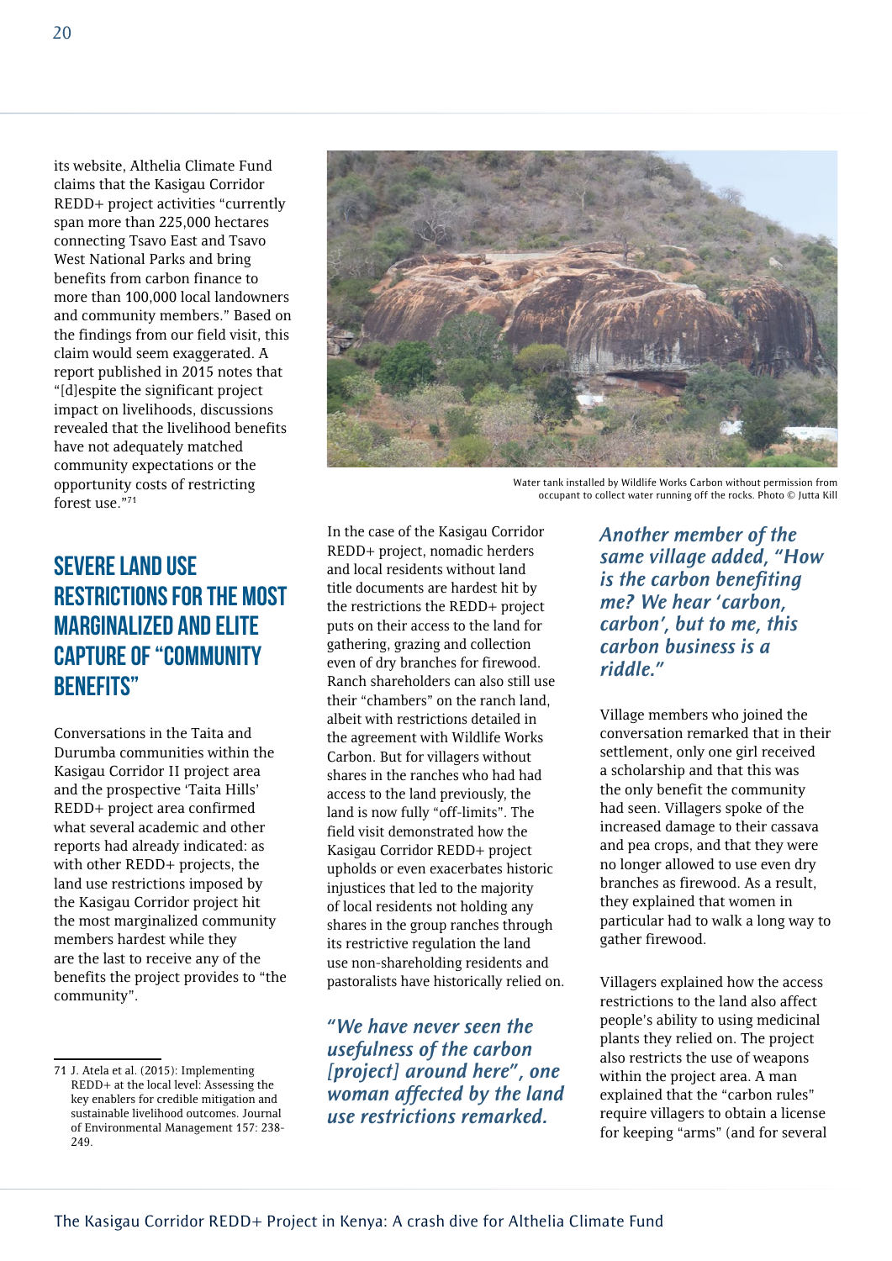its website, Althelia Climate Fund claims that the Kasigau Corridor REDD+ project activities "currently span more than 225,000 hectares connecting Tsavo East and Tsavo West National Parks and bring benefits from carbon finance to more than 100,000 local landowners and community members." Based on the findings from our field visit, this claim would seem exaggerated. A report published in 2015 notes that "[d]espite the significant project impact on livelihoods, discussions revealed that the livelihood benefits have not adequately matched community expectations or the opportunity costs of restricting forest use."71

#### Severe land use restrictions for the most marginalized and elite capture of "community benefits"

Conversations in the Taita and Durumba communities within the Kasigau Corridor II project area and the prospective 'Taita Hills' REDD+ project area confirmed what several academic and other reports had already indicated: as with other REDD+ projects, the land use restrictions imposed by the Kasigau Corridor project hit the most marginalized community members hardest while they are the last to receive any of the benefits the project provides to "the community".



Water tank installed by Wildlife Works Carbon without permission from occupant to collect water running off the rocks. Photo © Jutta Kill

In the case of the Kasigau Corridor REDD+ project, nomadic herders and local residents without land title documents are hardest hit by the restrictions the REDD+ project puts on their access to the land for gathering, grazing and collection even of dry branches for firewood. Ranch shareholders can also still use their "chambers" on the ranch land, albeit with restrictions detailed in the agreement with Wildlife Works Carbon. But for villagers without shares in the ranches who had had access to the land previously, the land is now fully "off-limits". The field visit demonstrated how the Kasigau Corridor REDD+ project upholds or even exacerbates historic injustices that led to the majority of local residents not holding any shares in the group ranches through its restrictive regulation the land use non-shareholding residents and pastoralists have historically relied on.

*"We have never seen the usefulness of the carbon [project] around here", one woman affected by the land use restrictions remarked.* 

*Another member of the same village added, "How is the carbon benefiting me? We hear 'carbon, carbon', but to me, this carbon business is a riddle."* 

Village members who joined the conversation remarked that in their settlement, only one girl received a scholarship and that this was the only benefit the community had seen. Villagers spoke of the increased damage to their cassava and pea crops, and that they were no longer allowed to use even dry branches as firewood. As a result, they explained that women in particular had to walk a long way to gather firewood.

Villagers explained how the access restrictions to the land also affect people's ability to using medicinal plants they relied on. The project also restricts the use of weapons within the project area. A man explained that the "carbon rules" require villagers to obtain a license for keeping "arms" (and for several

<sup>71</sup> J. Atela et al. (2015): Implementing REDD+ at the local level: Assessing the key enablers for credible mitigation and sustainable livelihood outcomes. Journal of Environmental Management 157: 238- 249.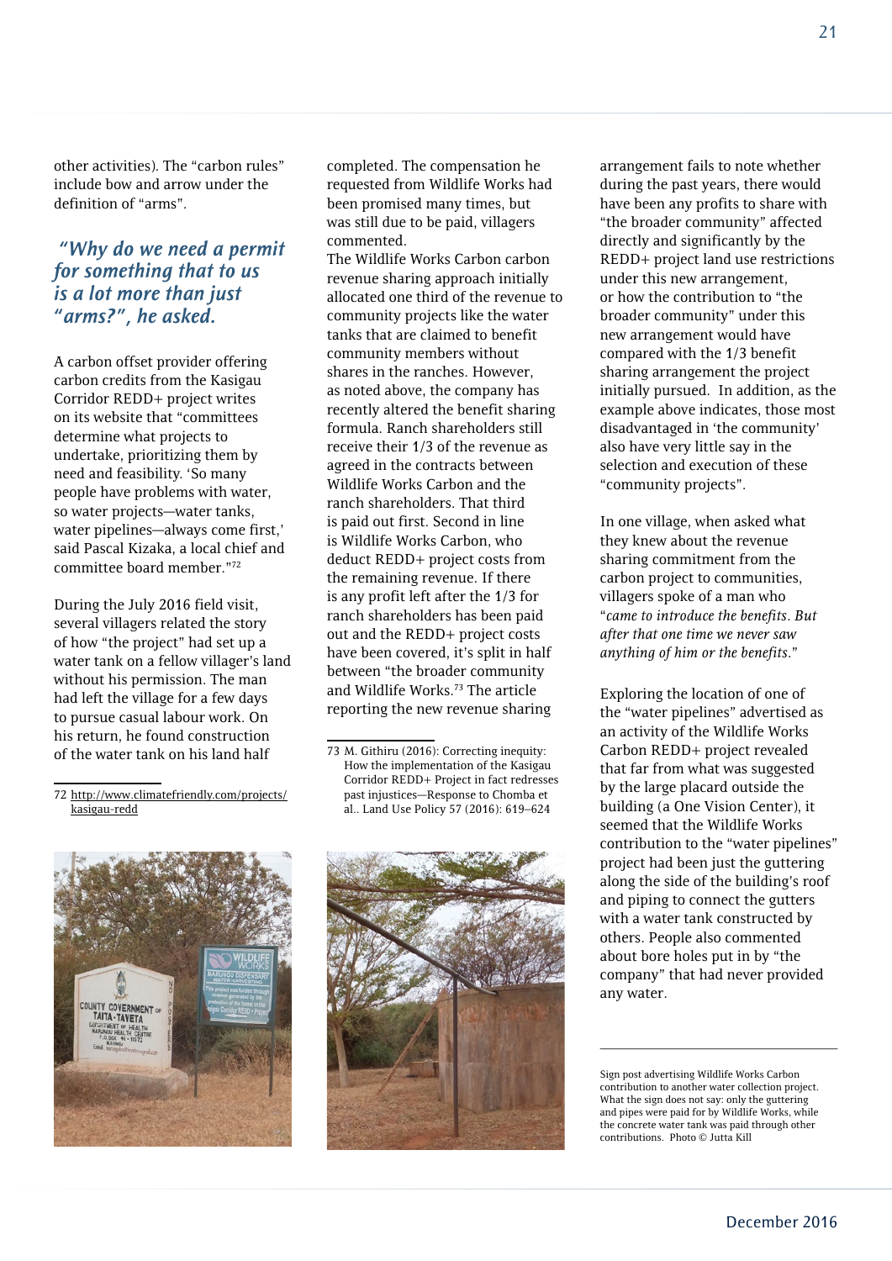other activities). The "carbon rules" include bow and arrow under the definition of "arms".

#### *"Why do we need a permit for something that to us is a lot more than just "arms?", he asked.*

A carbon offset provider offering carbon credits from the Kasigau Corridor REDD+ project writes on its website that "committees determine what projects to undertake, prioritizing them by need and feasibility. 'So many people have problems with water, so water projects—water tanks, water pipelines—always come first,' said Pascal Kizaka, a local chief and committee board member."72

During the July 2016 field visit, several villagers related the story of how "the project" had set up a water tank on a fellow villager's land without his permission. The man had left the village for a few days to pursue casual labour work. On his return, he found construction of the water tank on his land half

completed. The compensation he requested from Wildlife Works had been promised many times, but was still due to be paid, villagers commented.

The Wildlife Works Carbon carbon revenue sharing approach initially allocated one third of the revenue to community projects like the water tanks that are claimed to benefit community members without shares in the ranches. However, as noted above, the company has recently altered the benefit sharing formula. Ranch shareholders still receive their 1/3 of the revenue as agreed in the contracts between Wildlife Works Carbon and the ranch shareholders. That third is paid out first. Second in line is Wildlife Works Carbon, who deduct REDD+ project costs from the remaining revenue. If there is any profit left after the 1/3 for ranch shareholders has been paid out and the REDD+ project costs have been covered, it's split in half between "the broader community and Wildlife Works.<sup>73</sup> The article reporting the new revenue sharing

<sup>73</sup> M. Githiru (2016): Correcting inequity: How the implementation of the Kasigau Corridor REDD+ Project in fact redresses past injustices—Response to Chomba et al.. Land Use Policy 57 (2016): 619–624





arrangement fails to note whether during the past years, there would have been any profits to share with "the broader community" affected directly and significantly by the REDD+ project land use restrictions under this new arrangement, or how the contribution to "the broader community" under this new arrangement would have compared with the 1/3 benefit sharing arrangement the project initially pursued. In addition, as the example above indicates, those most disadvantaged in 'the community' also have very little say in the selection and execution of these "community projects".

In one village, when asked what they knew about the revenue sharing commitment from the carbon project to communities, villagers spoke of a man who "*came to introduce the benefits. But after that one time we never saw anything of him or the benefits*."

Exploring the location of one of the "water pipelines" advertised as an activity of the Wildlife Works Carbon REDD+ project revealed that far from what was suggested by the large placard outside the building (a One Vision Center), it seemed that the Wildlife Works contribution to the "water pipelines" project had been just the guttering along the side of the building's roof and piping to connect the gutters with a water tank constructed by others. People also commented about bore holes put in by "the company" that had never provided any water.

<sup>72</sup> [http://www.climatefriendly.com/projects/](http://www.climatefriendly.com/projects/kasigau-redd) [kasigau-redd](http://www.climatefriendly.com/projects/kasigau-redd)

Sign post advertising Wildlife Works Carbon contribution to another water collection project. What the sign does not say: only the guttering and pipes were paid for by Wildlife Works, while the concrete water tank was paid through other contributions. Photo © Jutta Kill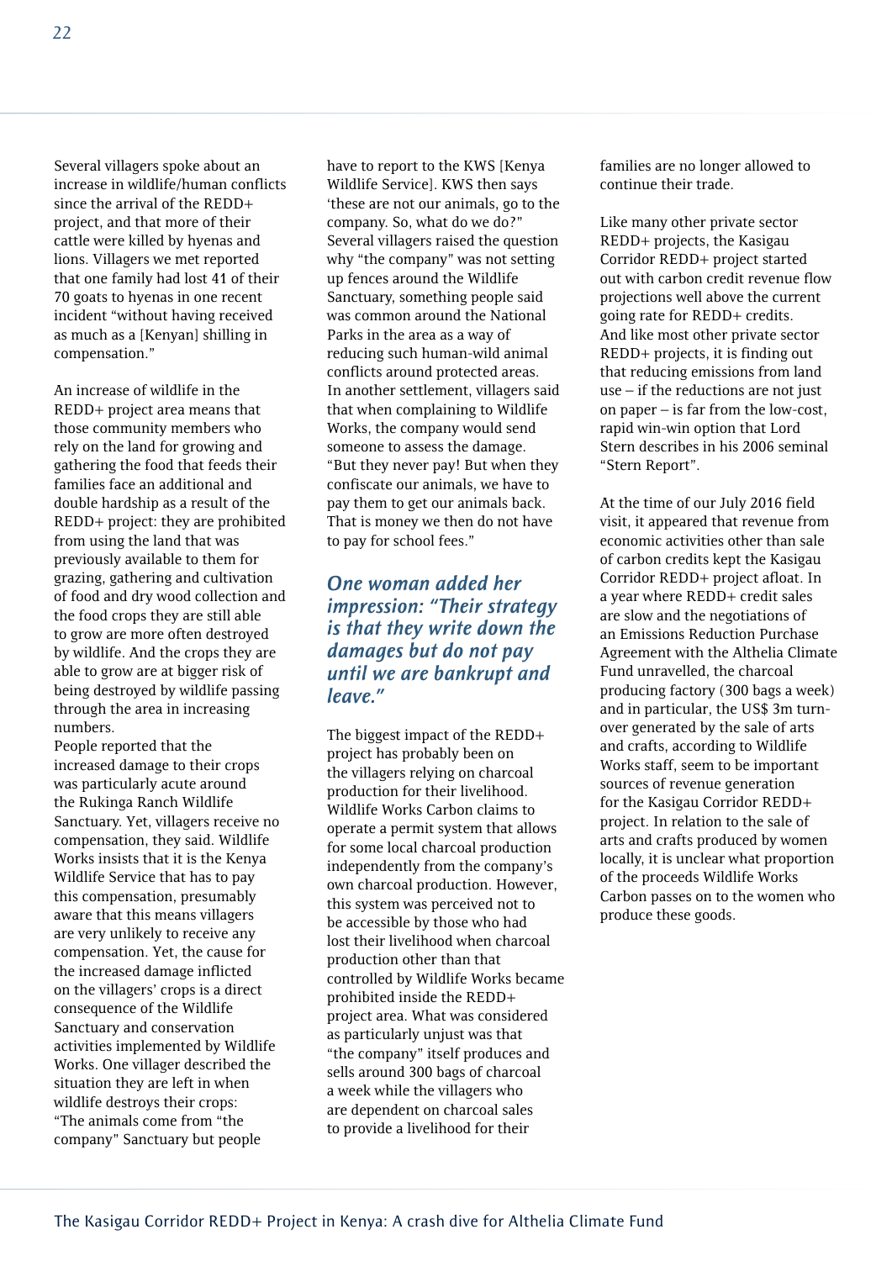Several villagers spoke about an increase in wildlife/human conflicts since the arrival of the REDD+ project, and that more of their cattle were killed by hyenas and lions. Villagers we met reported that one family had lost 41 of their 70 goats to hyenas in one recent incident "without having received as much as a [Kenyan] shilling in compensation."

An increase of wildlife in the REDD+ project area means that those community members who rely on the land for growing and gathering the food that feeds their families face an additional and double hardship as a result of the REDD+ project: they are prohibited from using the land that was previously available to them for grazing, gathering and cultivation of food and dry wood collection and the food crops they are still able to grow are more often destroyed by wildlife. And the crops they are able to grow are at bigger risk of being destroyed by wildlife passing through the area in increasing numbers.

People reported that the increased damage to their crops was particularly acute around the Rukinga Ranch Wildlife Sanctuary. Yet, villagers receive no compensation, they said. Wildlife Works insists that it is the Kenya Wildlife Service that has to pay this compensation, presumably aware that this means villagers are very unlikely to receive any compensation. Yet, the cause for the increased damage inflicted on the villagers' crops is a direct consequence of the Wildlife Sanctuary and conservation activities implemented by Wildlife Works. One villager described the situation they are left in when wildlife destroys their crops: "The animals come from "the company" Sanctuary but people

have to report to the KWS [Kenya Wildlife Service]. KWS then says 'these are not our animals, go to the company. So, what do we do?" Several villagers raised the question why "the company" was not setting up fences around the Wildlife Sanctuary, something people said was common around the National Parks in the area as a way of reducing such human-wild animal conflicts around protected areas. In another settlement, villagers said that when complaining to Wildlife Works, the company would send someone to assess the damage. "But they never pay! But when they confiscate our animals, we have to pay them to get our animals back. That is money we then do not have to pay for school fees."

#### *One woman added her impression: "Their strategy is that they write down the damages but do not pay until we are bankrupt and leave."*

The biggest impact of the REDD+ project has probably been on the villagers relying on charcoal production for their livelihood. Wildlife Works Carbon claims to operate a permit system that allows for some local charcoal production independently from the company's own charcoal production. However, this system was perceived not to be accessible by those who had lost their livelihood when charcoal production other than that controlled by Wildlife Works became prohibited inside the REDD+ project area. What was considered as particularly unjust was that "the company" itself produces and sells around 300 bags of charcoal a week while the villagers who are dependent on charcoal sales to provide a livelihood for their

families are no longer allowed to continue their trade.

Like many other private sector REDD+ projects, the Kasigau Corridor REDD+ project started out with carbon credit revenue flow projections well above the current going rate for REDD+ credits. And like most other private sector REDD+ projects, it is finding out that reducing emissions from land  $use - if the reductions are not just$ on paper – is far from the low-cost, rapid win-win option that Lord Stern describes in his 2006 seminal "Stern Report".

At the time of our July 2016 field visit, it appeared that revenue from economic activities other than sale of carbon credits kept the Kasigau Corridor REDD+ project afloat. In a year where REDD+ credit sales are slow and the negotiations of an Emissions Reduction Purchase Agreement with the Althelia Climate Fund unravelled, the charcoal producing factory (300 bags a week) and in particular, the US\$ 3m turnover generated by the sale of arts and crafts, according to Wildlife Works staff, seem to be important sources of revenue generation for the Kasigau Corridor REDD+ project. In relation to the sale of arts and crafts produced by women locally, it is unclear what proportion of the proceeds Wildlife Works Carbon passes on to the women who produce these goods.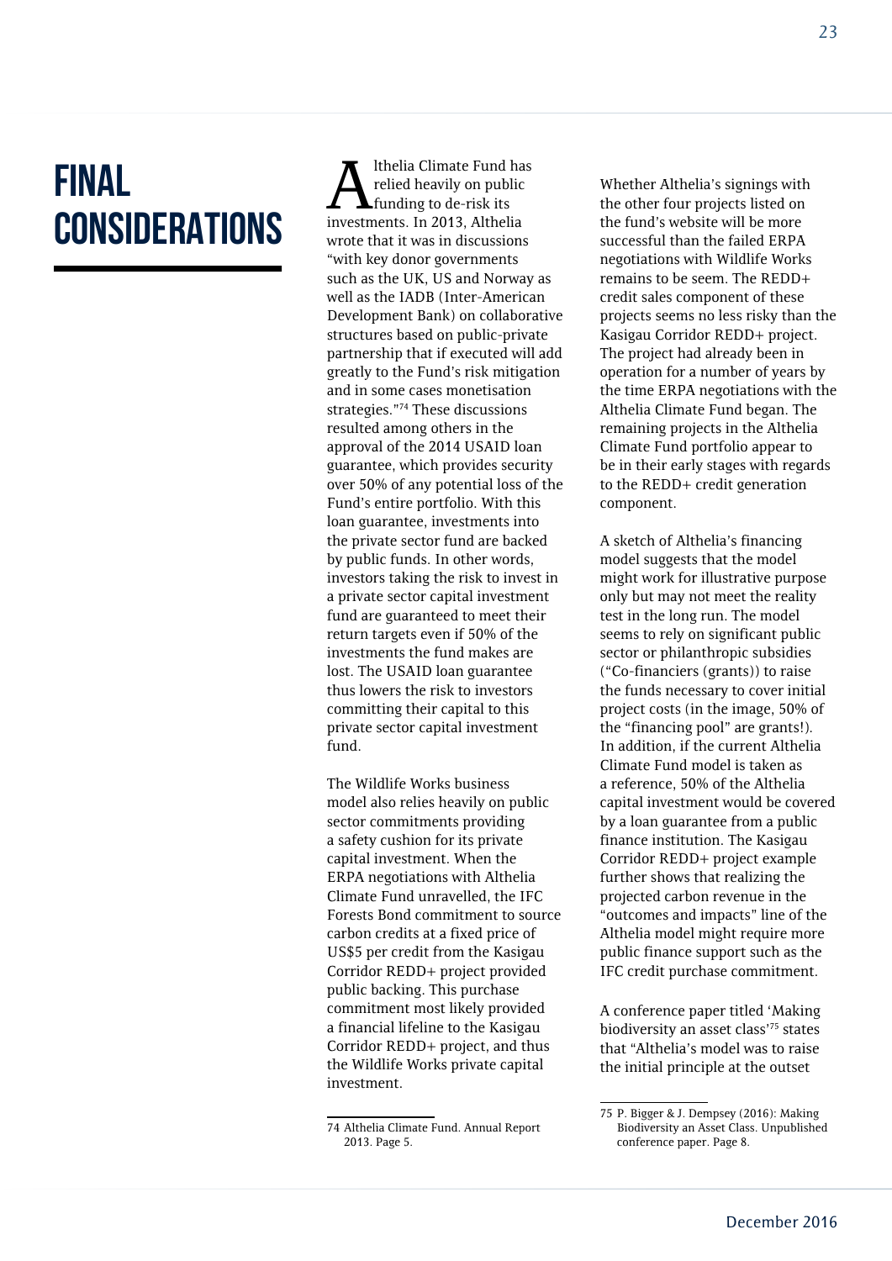### Final **CONSIDERATIONS**

Ithelia Climate Fund has relied heavily on public funding to de-risk its investments. In 2013, Althelia wrote that it was in discussions "with key donor governments such as the UK, US and Norway as well as the IADB (Inter-American Development Bank) on collaborative structures based on public-private partnership that if executed will add greatly to the Fund's risk mitigation and in some cases monetisation strategies."74 These discussions resulted among others in the approval of the 2014 USAID loan guarantee, which provides security over 50% of any potential loss of the Fund's entire portfolio. With this loan guarantee, investments into the private sector fund are backed by public funds. In other words, investors taking the risk to invest in a private sector capital investment fund are guaranteed to meet their return targets even if 50% of the investments the fund makes are lost. The USAID loan guarantee thus lowers the risk to investors committing their capital to this private sector capital investment fund.

The Wildlife Works business model also relies heavily on public sector commitments providing a safety cushion for its private capital investment. When the ERPA negotiations with Althelia Climate Fund unravelled, the IFC Forests Bond commitment to source carbon credits at a fixed price of US\$5 per credit from the Kasigau Corridor REDD+ project provided public backing. This purchase commitment most likely provided a financial lifeline to the Kasigau Corridor REDD+ project, and thus the Wildlife Works private capital investment.

Whether Althelia's signings with the other four projects listed on the fund's website will be more successful than the failed ERPA negotiations with Wildlife Works remains to be seem. The REDD+ credit sales component of these projects seems no less risky than the Kasigau Corridor REDD+ project. The project had already been in operation for a number of years by the time ERPA negotiations with the Althelia Climate Fund began. The remaining projects in the Althelia Climate Fund portfolio appear to be in their early stages with regards to the REDD+ credit generation component.

A sketch of Althelia's financing model suggests that the model might work for illustrative purpose only but may not meet the reality test in the long run. The model seems to rely on significant public sector or philanthropic subsidies ("Co-financiers (grants)) to raise the funds necessary to cover initial project costs (in the image, 50% of the "financing pool" are grants!). In addition, if the current Althelia Climate Fund model is taken as a reference, 50% of the Althelia capital investment would be covered by a loan guarantee from a public finance institution. The Kasigau Corridor REDD+ project example further shows that realizing the projected carbon revenue in the "outcomes and impacts" line of the Althelia model might require more public finance support such as the IFC credit purchase commitment.

A conference paper titled 'Making biodiversity an asset class'75 states that "Althelia's model was to raise the initial principle at the outset

<sup>74</sup> Althelia Climate Fund. Annual Report 2013. Page 5.

<sup>75</sup> P. Bigger & J. Dempsey (2016): Making Biodiversity an Asset Class. Unpublished conference paper. Page 8.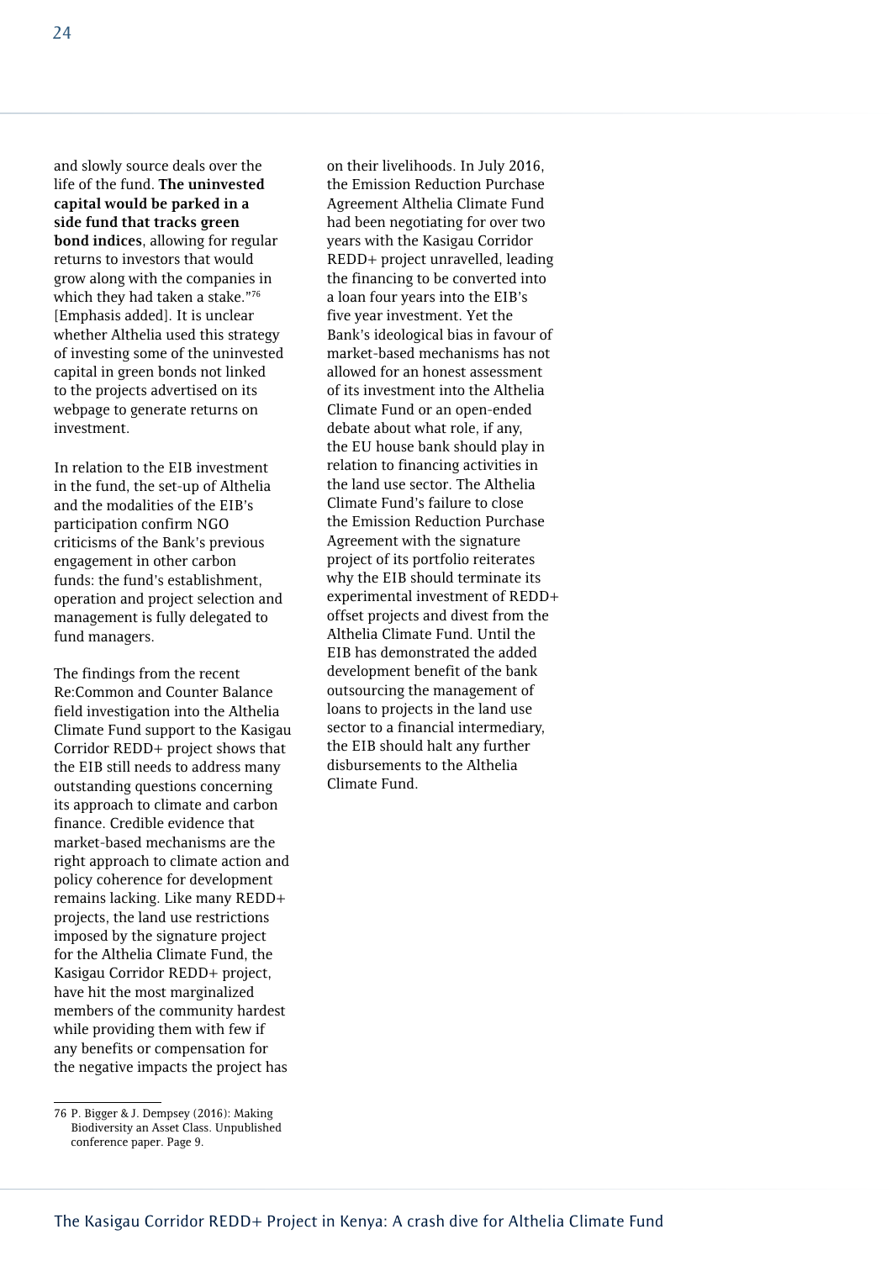and slowly source deals over the life of the fund. **The uninvested capital would be parked in a side fund that tracks green bond indices**, allowing for regular returns to investors that would grow along with the companies in which they had taken a stake."76 [Emphasis added]. It is unclear whether Althelia used this strategy of investing some of the uninvested capital in green bonds not linked to the projects advertised on its webpage to generate returns on investment.

In relation to the EIB investment in the fund, the set-up of Althelia and the modalities of the EIB's participation confirm NGO criticisms of the Bank's previous engagement in other carbon funds: the fund's establishment, operation and project selection and management is fully delegated to fund managers.

The findings from the recent Re:Common and Counter Balance field investigation into the Althelia Climate Fund support to the Kasigau Corridor REDD+ project shows that the EIB still needs to address many outstanding questions concerning its approach to climate and carbon finance. Credible evidence that market-based mechanisms are the right approach to climate action and policy coherence for development remains lacking. Like many REDD+ projects, the land use restrictions imposed by the signature project for the Althelia Climate Fund, the Kasigau Corridor REDD+ project, have hit the most marginalized members of the community hardest while providing them with few if any benefits or compensation for the negative impacts the project has

on their livelihoods. In July 2016, the Emission Reduction Purchase Agreement Althelia Climate Fund had been negotiating for over two years with the Kasigau Corridor REDD+ project unravelled, leading the financing to be converted into a loan four years into the EIB's five year investment. Yet the Bank's ideological bias in favour of market-based mechanisms has not allowed for an honest assessment of its investment into the Althelia Climate Fund or an open-ended debate about what role, if any, the EU house bank should play in relation to financing activities in the land use sector. The Althelia Climate Fund's failure to close the Emission Reduction Purchase Agreement with the signature project of its portfolio reiterates why the EIB should terminate its experimental investment of REDD+ offset projects and divest from the Althelia Climate Fund. Until the EIB has demonstrated the added development benefit of the bank outsourcing the management of loans to projects in the land use sector to a financial intermediary, the EIB should halt any further disbursements to the Althelia Climate Fund.

<sup>76</sup> P. Bigger & J. Dempsey (2016): Making Biodiversity an Asset Class. Unpublished conference paper. Page 9.